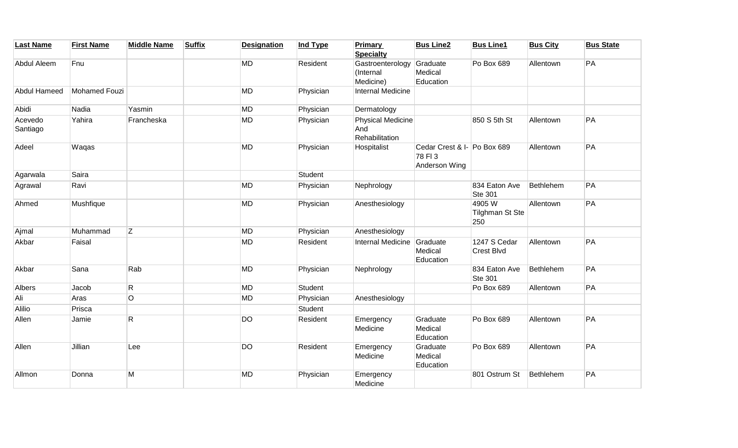| <b>Last Name</b>    | <b>First Name</b> | <b>Middle Name</b> | <b>Suffix</b> | <b>Designation</b> | <b>Ind Type</b> | <b>Primary</b><br><b>Specialty</b>                | <b>Bus Line2</b>                                       | <b>Bus Line1</b>                  | <b>Bus City</b> | <b>Bus State</b> |
|---------------------|-------------------|--------------------|---------------|--------------------|-----------------|---------------------------------------------------|--------------------------------------------------------|-----------------------------------|-----------------|------------------|
| Abdul Aleem         | Fnu               |                    |               | <b>MD</b>          | Resident        | Gastroenterology<br>(Internal<br>Medicine)        | Graduate<br>Medical<br>Education                       | Po Box 689                        | Allentown       | PA               |
| Abdul Hameed        | Mohamed Fouzi     |                    |               | <b>MD</b>          | Physician       | Internal Medicine                                 |                                                        |                                   |                 |                  |
| Abidi               | Nadia             | Yasmin             |               | <b>MD</b>          | Physician       | Dermatology                                       |                                                        |                                   |                 |                  |
| Acevedo<br>Santiago | Yahira            | Francheska         |               | <b>MD</b>          | Physician       | <b>Physical Medicine</b><br>And<br>Rehabilitation |                                                        | 850 S 5th St                      | Allentown       | PA               |
| Adeel               | Waqas             |                    |               | <b>MD</b>          | Physician       | Hospitalist                                       | Cedar Crest & I- Po Box 689<br>78 FI3<br>Anderson Wing |                                   | Allentown       | PA               |
| Agarwala            | Saira             |                    |               |                    | Student         |                                                   |                                                        |                                   |                 |                  |
| Agrawal             | Ravi              |                    |               | <b>MD</b>          | Physician       | Nephrology                                        |                                                        | 834 Eaton Ave<br><b>Ste 301</b>   | Bethlehem       | PA               |
| Ahmed               | Mushfique         |                    |               | <b>MD</b>          | Physician       | Anesthesiology                                    |                                                        | 4905 W<br>Tilghman St Ste<br>250  | Allentown       | PA               |
| Ajmal               | Muhammad          | Z                  |               | <b>MD</b>          | Physician       | Anesthesiology                                    |                                                        |                                   |                 |                  |
| Akbar               | Faisal            |                    |               | <b>MD</b>          | Resident        | <b>Internal Medicine</b>                          | Graduate<br>Medical<br>Education                       | 1247 S Cedar<br><b>Crest Blvd</b> | Allentown       | PA               |
| Akbar               | Sana              | Rab                |               | <b>MD</b>          | Physician       | Nephrology                                        |                                                        | 834 Eaton Ave<br><b>Ste 301</b>   | Bethlehem       | PA               |
| Albers              | Jacob             | $\mathsf R$        |               | <b>MD</b>          | Student         |                                                   |                                                        | Po Box 689                        | Allentown       | PA               |
| Ali                 | Aras              | $\overline{O}$     |               | <b>MD</b>          | Physician       | Anesthesiology                                    |                                                        |                                   |                 |                  |
| Alilio              | Prisca            |                    |               |                    | Student         |                                                   |                                                        |                                   |                 |                  |
| Allen               | Jamie             | R.                 |               | <b>DO</b>          | Resident        | Emergency<br>Medicine                             | Graduate<br>Medical<br>Education                       | Po Box 689                        | Allentown       | PA               |
| Allen               | Jillian           | Lee                |               | <b>DO</b>          | Resident        | Emergency<br>Medicine                             | Graduate<br>Medical<br>Education                       | Po Box 689                        | Allentown       | PA               |
| Allmon              | Donna             | M                  |               | <b>MD</b>          | Physician       | Emergency<br>Medicine                             |                                                        | 801 Ostrum St                     | Bethlehem       | PA               |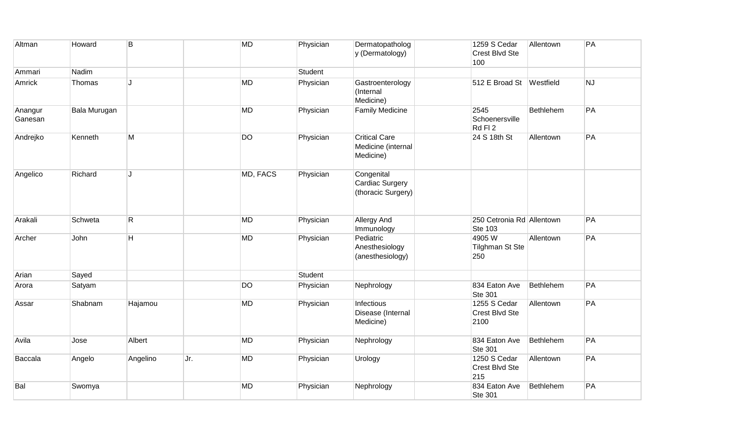| Altman             | Howard       | B        |     | <b>MD</b> | Physician | Dermatopatholog<br>y (Dermatology)                      | 1259 S Cedar<br>Crest Blvd Ste<br>100        | Allentown | PA |
|--------------------|--------------|----------|-----|-----------|-----------|---------------------------------------------------------|----------------------------------------------|-----------|----|
| Ammari             | Nadim        |          |     |           | Student   |                                                         |                                              |           |    |
| Amrick             | Thomas       | . I      |     | <b>MD</b> | Physician | Gastroenterology<br>(Internal<br>Medicine)              | 512 E Broad St Westfield                     |           | NJ |
| Anangur<br>Ganesan | Bala Murugan |          |     | <b>MD</b> | Physician | <b>Family Medicine</b>                                  | 2545<br>Schoenersville<br>Rd FI <sub>2</sub> | Bethlehem | PA |
| Andrejko           | Kenneth      | М        |     | <b>DO</b> | Physician | <b>Critical Care</b><br>Medicine (internal<br>Medicine) | 24 S 18th St                                 | Allentown | PA |
| Angelico           | Richard      | . I      |     | MD, FACS  | Physician | Congenital<br>Cardiac Surgery<br>(thoracic Surgery)     |                                              |           |    |
| Arakali            | Schweta      | R.       |     | MD        | Physician | Allergy And<br>Immunology                               | 250 Cetronia Rd Allentown<br><b>Ste 103</b>  |           | PA |
| Archer             | John         | H        |     | <b>MD</b> | Physician | Pediatric<br>Anesthesiology<br>(anesthesiology)         | 4905W<br><b>Tilghman St Ste</b><br>250       | Allentown | PA |
| Arian              | Sayed        |          |     |           | Student   |                                                         |                                              |           |    |
| Arora              | Satyam       |          |     | <b>DO</b> | Physician | Nephrology                                              | 834 Eaton Ave<br>Ste 301                     | Bethlehem | PA |
| Assar              | Shabnam      | Hajamou  |     | <b>MD</b> | Physician | Infectious<br>Disease (Internal<br>Medicine)            | 1255 S Cedar<br>Crest Blvd Ste<br>2100       | Allentown | PA |
| Avila              | Jose         | Albert   |     | MD        | Physician | Nephrology                                              | 834 Eaton Ave<br><b>Ste 301</b>              | Bethlehem | PA |
| Baccala            | Angelo       | Angelino | Jr. | <b>MD</b> | Physician | Urology                                                 | 1250 S Cedar<br>Crest Blvd Ste<br>215        | Allentown | PA |
| Bal                | Swomya       |          |     | <b>MD</b> | Physician | Nephrology                                              | 834 Eaton Ave<br>Ste 301                     | Bethlehem | PA |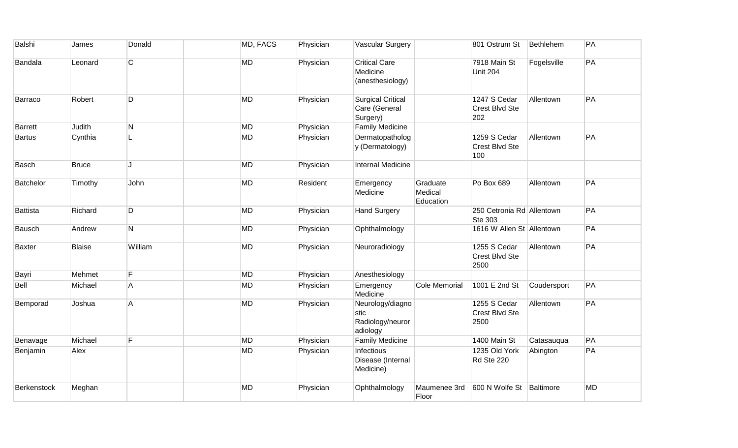| Balshi          | James         | Donald         | MD, FACS  | Physician | <b>Vascular Surgery</b>                                  |                                  | 801 Ostrum St                          | Bethlehem   | PA        |
|-----------------|---------------|----------------|-----------|-----------|----------------------------------------------------------|----------------------------------|----------------------------------------|-------------|-----------|
| <b>Bandala</b>  | Leonard       | C              | <b>MD</b> | Physician | <b>Critical Care</b><br>Medicine<br>(anesthesiology)     |                                  | 7918 Main St<br><b>Unit 204</b>        | Fogelsville | PA        |
| Barraco         | Robert        | D              | <b>MD</b> | Physician | <b>Surgical Critical</b><br>Care (General<br>Surgery)    |                                  | 1247 S Cedar<br>Crest Blvd Ste<br>202  | Allentown   | PA        |
| <b>Barrett</b>  | Judith        | N              | <b>MD</b> | Physician | <b>Family Medicine</b>                                   |                                  |                                        |             |           |
| <b>Bartus</b>   | Cynthia       | L              | <b>MD</b> | Physician | Dermatopatholog<br>y (Dermatology)                       |                                  | 1259 S Cedar<br>Crest Blvd Ste<br>100  | Allentown   | PA        |
| Basch           | <b>Bruce</b>  | $\mathbf{I}$ . | <b>MD</b> | Physician | <b>Internal Medicine</b>                                 |                                  |                                        |             |           |
| Batchelor       | Timothy       | John           | <b>MD</b> | Resident  | Emergency<br>Medicine                                    | Graduate<br>Medical<br>Education | Po Box 689                             | Allentown   | PA        |
| <b>Battista</b> | Richard       | D              | <b>MD</b> | Physician | <b>Hand Surgery</b>                                      |                                  | 250 Cetronia Rd Allentown<br>Ste 303   |             | PA        |
| Bausch          | Andrew        | N              | <b>MD</b> | Physician | Ophthalmology                                            |                                  | 1616 W Allen St Allentown              |             | PA        |
| <b>Baxter</b>   | <b>Blaise</b> | William        | <b>MD</b> | Physician | Neuroradiology                                           |                                  | 1255 S Cedar<br>Crest Blvd Ste<br>2500 | Allentown   | PA        |
| Bayri           | Mehmet        | $\overline{F}$ | <b>MD</b> | Physician | Anesthesiology                                           |                                  |                                        |             |           |
| Bell            | Michael       | A              | <b>MD</b> | Physician | Emergency<br>Medicine                                    | Cole Memorial                    | 1001 E 2nd St                          | Coudersport | PA        |
| Bemporad        | Joshua        | А              | <b>MD</b> | Physician | Neurology/diagno<br>stic<br>Radiology/neuror<br>adiology |                                  | 1255 S Cedar<br>Crest Blvd Ste<br>2500 | Allentown   | PA        |
| Benavage        | Michael       | F              | <b>MD</b> | Physician | <b>Family Medicine</b>                                   |                                  | 1400 Main St                           | Catasauqua  | PA        |
| Benjamin        | Alex          |                | <b>MD</b> | Physician | Infectious<br>Disease (Internal<br>Medicine)             |                                  | 1235 Old York<br>Rd Ste 220            | Abington    | PA        |
| Berkenstock     | Meghan        |                | <b>MD</b> | Physician | Ophthalmology                                            | Maumenee 3rd<br>Floor            | 600 N Wolfe St                         | Baltimore   | <b>MD</b> |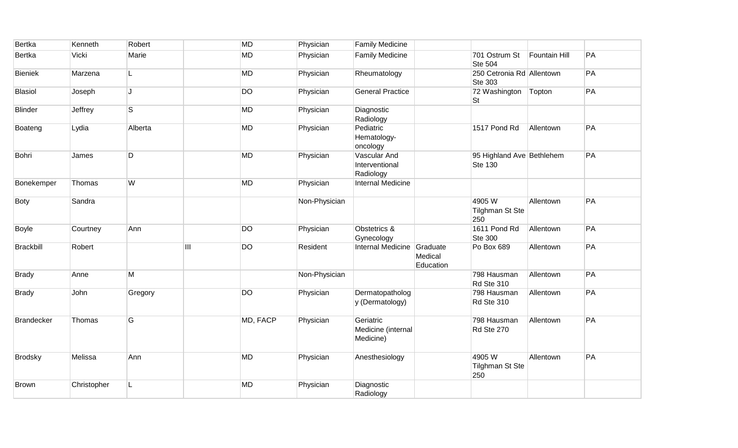| Bertka            | Kenneth     | Robert  |                           | <b>MD</b> | Physician     | <b>Family Medicine</b>                       |                                  |                                             |               |    |
|-------------------|-------------|---------|---------------------------|-----------|---------------|----------------------------------------------|----------------------------------|---------------------------------------------|---------------|----|
| <b>Bertka</b>     | Vicki       | Marie   |                           | <b>MD</b> | Physician     | <b>Family Medicine</b>                       |                                  | 701 Ostrum St<br><b>Ste 504</b>             | Fountain Hill | PA |
| <b>Bieniek</b>    | Marzena     | L       |                           | <b>MD</b> | Physician     | Rheumatology                                 |                                  | 250 Cetronia Rd Allentown<br><b>Ste 303</b> |               | PA |
| <b>Blasiol</b>    | Joseph      | J.      |                           | <b>DO</b> | Physician     | <b>General Practice</b>                      |                                  | 72 Washington<br>St                         | Topton        | PA |
| <b>Blinder</b>    | Jeffrey     | S       |                           | <b>MD</b> | Physician     | Diagnostic<br>Radiology                      |                                  |                                             |               |    |
| Boateng           | Lydia       | Alberta |                           | MD        | Physician     | Pediatric<br>Hematology-<br>oncology         |                                  | 1517 Pond Rd                                | Allentown     | PA |
| Bohri             | James       | D       |                           | <b>MD</b> | Physician     | Vascular And<br>Interventional<br>Radiology  |                                  | 95 Highland Ave Bethlehem<br>Ste 130        |               | PA |
| Bonekemper        | Thomas      | W       |                           | MD        | Physician     | Internal Medicine                            |                                  |                                             |               |    |
| <b>Boty</b>       | Sandra      |         |                           |           | Non-Physician |                                              |                                  | 4905W<br>Tilghman St Ste<br>250             | Allentown     | PA |
| Boyle             | Courtney    | Ann     |                           | <b>DO</b> | Physician     | Obstetrics &<br>Gynecology                   |                                  | 1611 Pond Rd<br><b>Ste 300</b>              | Allentown     | PA |
| <b>Brackbill</b>  | Robert      |         | $\overline{\mathsf{III}}$ | <b>DO</b> | Resident      | <b>Internal Medicine</b>                     | Graduate<br>Medical<br>Education | Po Box 689                                  | Allentown     | PA |
| <b>Brady</b>      | Anne        | М       |                           |           | Non-Physician |                                              |                                  | 798 Hausman<br>Rd Ste 310                   | Allentown     | PA |
| <b>Brady</b>      | John        | Gregory |                           | <b>DO</b> | Physician     | Dermatopatholog<br>y (Dermatology)           |                                  | 798 Hausman<br>Rd Ste 310                   | Allentown     | PA |
| <b>Brandecker</b> | Thomas      | G       |                           | MD, FACP  | Physician     | Geriatric<br>Medicine (internal<br>Medicine) |                                  | 798 Hausman<br>Rd Ste 270                   | Allentown     | PA |
| <b>Brodsky</b>    | Melissa     | Ann     |                           | <b>MD</b> | Physician     | Anesthesiology                               |                                  | 4905W<br><b>Tilghman St Ste</b><br>250      | Allentown     | PA |
| <b>Brown</b>      | Christopher |         |                           | <b>MD</b> | Physician     | Diagnostic<br>Radiology                      |                                  |                                             |               |    |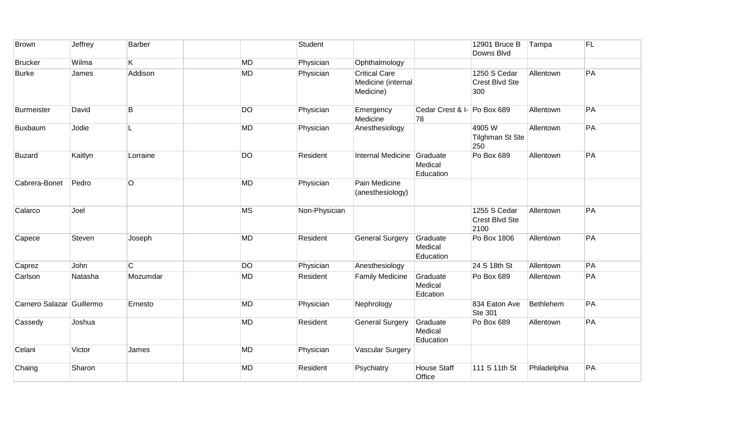| <b>Brown</b>              | Jeffrey | <b>Barber</b> |           | Student       |                                                         |                                   | 12901 Bruce B<br>Downs Blvd            | Tampa        | <b>FL</b> |
|---------------------------|---------|---------------|-----------|---------------|---------------------------------------------------------|-----------------------------------|----------------------------------------|--------------|-----------|
| <b>Brucker</b>            | Wilma   | K.            | <b>MD</b> | Physician     | Ophthalmology                                           |                                   |                                        |              |           |
| <b>Burke</b>              | James   | Addison       | <b>MD</b> | Physician     | <b>Critical Care</b><br>Medicine (internal<br>Medicine) |                                   | 1250 S Cedar<br>Crest Blvd Ste<br>300  | Allentown    | PA        |
| <b>Burmeister</b>         | David   | B             | <b>DO</b> | Physician     | Emergency<br>Medicine                                   | Cedar Crest & I- Po Box 689<br>78 |                                        | Allentown    | PA        |
| Buxbaum                   | Jodie   | L.            | <b>MD</b> | Physician     | Anesthesiology                                          |                                   | 4905W<br><b>Tilghman St Ste</b><br>250 | Allentown    | PA        |
| <b>Buzard</b>             | Kaitlyn | Lorraine      | <b>DO</b> | Resident      | Internal Medicine                                       | Graduate<br>Medical<br>Education  | Po Box 689                             | Allentown    | PA        |
| Cabrera-Bonet             | Pedro   | O             | <b>MD</b> | Physician     | Pain Medicine<br>(anesthesiology)                       |                                   |                                        |              |           |
| Calarco                   | Joel    |               | <b>MS</b> | Non-Physician |                                                         |                                   | 1255 S Cedar<br>Crest Blvd Ste<br>2100 | Allentown    | PA        |
| Capece                    | Steven  | Joseph        | <b>MD</b> | Resident      | <b>General Surgery</b>                                  | Graduate<br>Medical<br>Education  | Po Box 1806                            | Allentown    | PA        |
| Caprez                    | John    | C.            | <b>DO</b> | Physician     | Anesthesiology                                          |                                   | 24 S 18th St                           | Allentown    | PA        |
| Carlson                   | Natasha | Mozumdar      | <b>MD</b> | Resident      | <b>Family Medicine</b>                                  | Graduate<br>Medical<br>Edcation   | Po Box 689                             | Allentown    | PA        |
| Carnero Salazar Guillermo |         | Ernesto       | <b>MD</b> | Physician     | Nephrology                                              |                                   | 834 Eaton Ave<br><b>Ste 301</b>        | Bethlehem    | PA        |
| Cassedy                   | Joshua  |               | <b>MD</b> | Resident      | <b>General Surgery</b>                                  | Graduate<br>Medical<br>Education  | Po Box 689                             | Allentown    | PA        |
| Celani                    | Victor  | James         | <b>MD</b> | Physician     | <b>Vascular Surgery</b>                                 |                                   |                                        |              |           |
| Chaing                    | Sharon  |               | <b>MD</b> | Resident      | Psychiatry                                              | <b>House Staff</b><br>Office      | 111 S 11th St                          | Philadelphia | PA        |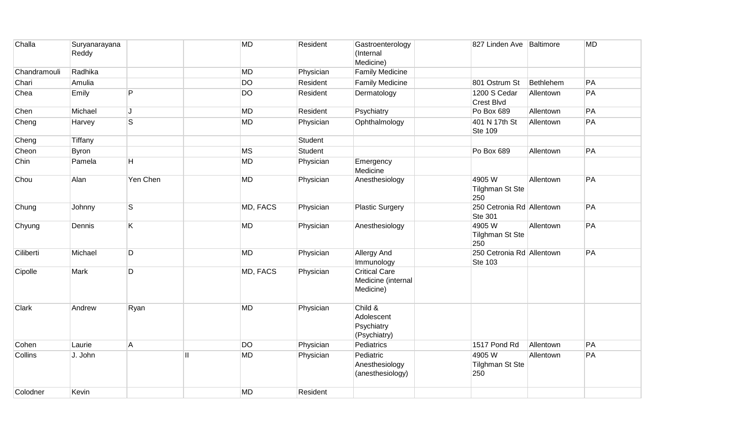| Challa       | Suryanarayana<br>Reddy |                         |    | <b>MD</b> | Resident  | Gastroenterology<br>(Internal<br>Medicine)              | 827 Linden Ave Baltimore                    |           | <b>MD</b> |
|--------------|------------------------|-------------------------|----|-----------|-----------|---------------------------------------------------------|---------------------------------------------|-----------|-----------|
| Chandramouli | Radhika                |                         |    | <b>MD</b> | Physician | <b>Family Medicine</b>                                  |                                             |           |           |
| Chari        | Amulia                 |                         |    | <b>DO</b> | Resident  | <b>Family Medicine</b>                                  | 801 Ostrum St                               | Bethlehem | PA        |
| Chea         | Emily                  | P                       |    | <b>DO</b> | Resident  | Dermatology                                             | 1200 S Cedar<br>Crest Blvd                  | Allentown | PA        |
| Chen         | Michael                | J                       |    | <b>MD</b> | Resident  | Psychiatry                                              | Po Box 689                                  | Allentown | PA        |
| Cheng        | Harvey                 | $\overline{\mathsf{s}}$ |    | <b>MD</b> | Physician | Ophthalmology                                           | 401 N 17th St<br><b>Ste 109</b>             | Allentown | PA        |
| Cheng        | Tiffany                |                         |    |           | Student   |                                                         |                                             |           |           |
| Cheon        | <b>Byron</b>           |                         |    | <b>MS</b> | Student   |                                                         | Po Box 689                                  | Allentown | PA        |
| Chin         | Pamela                 | H                       |    | <b>MD</b> | Physician | Emergency<br>Medicine                                   |                                             |           |           |
| Chou         | Alan                   | Yen Chen                |    | MD        | Physician | Anesthesiology                                          | 4905W<br><b>Tilghman St Ste</b><br>250      | Allentown | PA        |
| Chung        | Johnny                 | $\overline{\mathsf{s}}$ |    | MD, FACS  | Physician | <b>Plastic Surgery</b>                                  | 250 Cetronia Rd Allentown<br>Ste 301        |           | PA        |
| Chyung       | Dennis                 | K.                      |    | <b>MD</b> | Physician | Anesthesiology                                          | 4905W<br><b>Tilghman St Ste</b><br>250      | Allentown | PA        |
| Ciliberti    | Michael                | D                       |    | <b>MD</b> | Physician | <b>Allergy And</b><br>Immunology                        | 250 Cetronia Rd Allentown<br><b>Ste 103</b> |           | PA        |
| Cipolle      | Mark                   | D                       |    | MD, FACS  | Physician | <b>Critical Care</b><br>Medicine (internal<br>Medicine) |                                             |           |           |
| Clark        | Andrew                 | Ryan                    |    | <b>MD</b> | Physician | Child &<br>Adolescent<br>Psychiatry<br>(Psychiatry)     |                                             |           |           |
| Cohen        | Laurie                 | Α                       |    | <b>DO</b> | Physician | Pediatrics                                              | 1517 Pond Rd                                | Allentown | PA        |
| Collins      | J. John                |                         | H. | <b>MD</b> | Physician | Pediatric<br>Anesthesiology<br>(anesthesiology)         | 4905W<br><b>Tilghman St Ste</b><br>250      | Allentown | PA        |
| Colodner     | Kevin                  |                         |    | <b>MD</b> | Resident  |                                                         |                                             |           |           |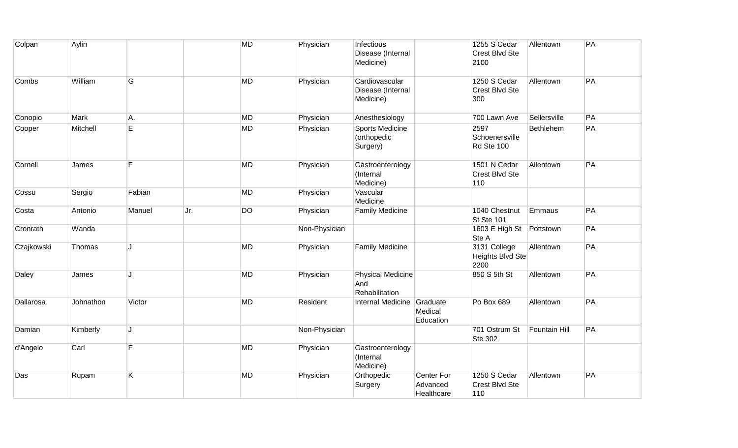| Colpan     | Aylin     |        |     | <b>MD</b> | Physician     | Infectious<br>Disease (Internal<br>Medicine)      |                                      | 1255 S Cedar<br>Crest Blvd Ste<br>2100   | Allentown            | PA |
|------------|-----------|--------|-----|-----------|---------------|---------------------------------------------------|--------------------------------------|------------------------------------------|----------------------|----|
| Combs      | William   | G      |     | MD        | Physician     | Cardiovascular<br>Disease (Internal<br>Medicine)  |                                      | 1250 S Cedar<br>Crest Blvd Ste<br>300    | Allentown            | PA |
| Conopio    | Mark      | A.     |     | MD        | Physician     | Anesthesiology                                    |                                      | 700 Lawn Ave                             | Sellersville         | PA |
| Cooper     | Mitchell  | E      |     | <b>MD</b> | Physician     | Sports Medicine<br>(orthopedic<br>Surgery)        |                                      | 2597<br>Schoenersville<br>Rd Ste 100     | Bethlehem            | PA |
| Cornell    | James     | F      |     | <b>MD</b> | Physician     | Gastroenterology<br>(Internal<br>Medicine)        |                                      | 1501 N Cedar<br>Crest Blvd Ste<br>110    | Allentown            | PA |
| Cossu      | Sergio    | Fabian |     | MD        | Physician     | Vascular<br>Medicine                              |                                      |                                          |                      |    |
| Costa      | Antonio   | Manuel | Jr. | <b>DO</b> | Physician     | <b>Family Medicine</b>                            |                                      | 1040 Chestnut<br>St Ste 101              | Emmaus               | PA |
| Cronrath   | Wanda     |        |     |           | Non-Physician |                                                   |                                      | 1603 E High St<br>Ste A                  | Pottstown            | PA |
| Czajkowski | Thomas    | J      |     | MD        | Physician     | <b>Family Medicine</b>                            |                                      | 3131 College<br>Heights Blvd Ste<br>2200 | Allentown            | PA |
| Daley      | James     | 1.     |     | MD        | Physician     | <b>Physical Medicine</b><br>And<br>Rehabilitation |                                      | 850 S 5th St                             | Allentown            | PA |
| Dallarosa  | Johnathon | Victor |     | <b>MD</b> | Resident      | Internal Medicine                                 | Graduate<br>Medical<br>Education     | Po Box 689                               | Allentown            | PA |
| Damian     | Kimberly  | J      |     |           | Non-Physician |                                                   |                                      | 701 Ostrum St<br><b>Ste 302</b>          | <b>Fountain Hill</b> | PA |
| d'Angelo   | Carl      | F      |     | MD        | Physician     | Gastroenterology<br>(Internal<br>Medicine)        |                                      |                                          |                      |    |
| Das        | Rupam     | K      |     | MD        | Physician     | Orthopedic<br>Surgery                             | Center For<br>Advanced<br>Healthcare | 1250 S Cedar<br>Crest Blvd Ste<br>110    | Allentown            | PA |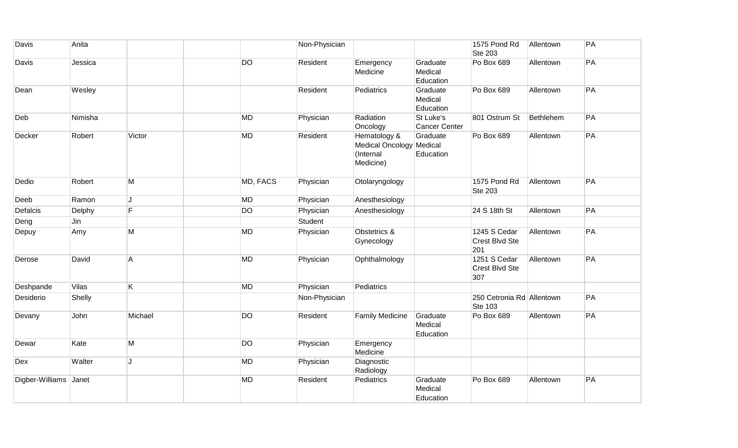| Davis                 | Anita   |                |           | Non-Physician |                                                                    |                                   | 1575 Pond Rd<br><b>Ste 203</b>        | Allentown | PA |
|-----------------------|---------|----------------|-----------|---------------|--------------------------------------------------------------------|-----------------------------------|---------------------------------------|-----------|----|
| Davis                 | Jessica |                | <b>DO</b> | Resident      | Emergency<br>Medicine                                              | Graduate<br>Medical<br>Education  | Po Box 689                            | Allentown | PA |
| Dean                  | Wesley  |                |           | Resident      | Pediatrics                                                         | Graduate<br>Medical<br>Education  | Po Box 689                            | Allentown | PA |
| Deb                   | Nimisha |                | <b>MD</b> | Physician     | Radiation<br>Oncology                                              | St Luke's<br><b>Cancer Center</b> | 801 Ostrum St                         | Bethlehem | PA |
| Decker                | Robert  | Victor         | <b>MD</b> | Resident      | Hematology &<br>Medical Oncology Medical<br>(Internal<br>Medicine) | Graduate<br>Education             | Po Box 689                            | Allentown | PA |
| Dedio                 | Robert  | M              | MD, FACS  | Physician     | Otolaryngology                                                     |                                   | 1575 Pond Rd<br><b>Ste 203</b>        | Allentown | PA |
| Deeb                  | Ramon   | J              | <b>MD</b> | Physician     | Anesthesiology                                                     |                                   |                                       |           |    |
| Defalcis              | Delphy  | F              | DO        | Physician     | Anesthesiology                                                     |                                   | 24 S 18th St                          | Allentown | PA |
| Deng                  | Jin     |                |           | Student       |                                                                    |                                   |                                       |           |    |
| Depuy                 | Amy     | M              | <b>MD</b> | Physician     | Obstetrics &<br>Gynecology                                         |                                   | 1245 S Cedar<br>Crest Blvd Ste<br>201 | Allentown | PA |
| Derose                | David   | $\overline{A}$ | <b>MD</b> | Physician     | Ophthalmology                                                      |                                   | 1251 S Cedar<br>Crest Blvd Ste<br>307 | Allentown | PA |
| Deshpande             | Vilas   | K.             | MD        | Physician     | Pediatrics                                                         |                                   |                                       |           |    |
| Desiderio             | Shelly  |                |           | Non-Physician |                                                                    |                                   | 250 Cetronia Rd Allentown<br>Ste 103  |           | PA |
| Devany                | John    | Michael        | <b>DO</b> | Resident      | <b>Family Medicine</b>                                             | Graduate<br>Medical<br>Education  | Po Box 689                            | Allentown | PA |
| Dewar                 | Kate    | M              | <b>DO</b> | Physician     | Emergency<br>Medicine                                              |                                   |                                       |           |    |
| Dex                   | Walter  | J              | <b>MD</b> | Physician     | Diagnostic<br>Radiology                                            |                                   |                                       |           |    |
| Digber-Williams Janet |         |                | <b>MD</b> | Resident      | Pediatrics                                                         | Graduate<br>Medical<br>Education  | Po Box 689                            | Allentown | PA |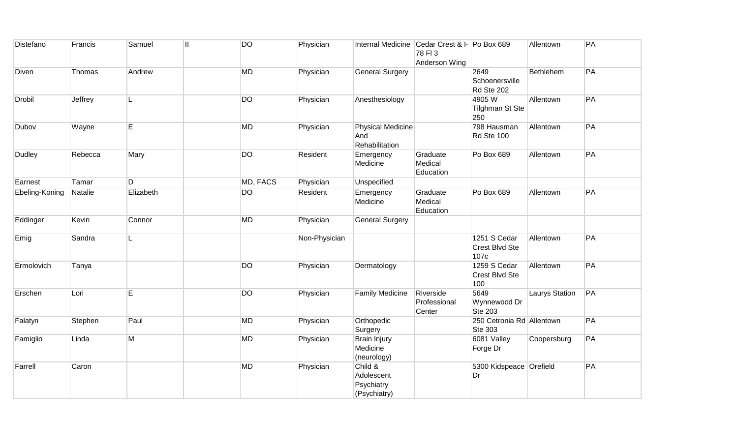| Distefano      | Francis | Samuel    | <b>DO</b><br>$\mathbf{I}$ | Physician     | Internal Medicine Cedar Crest & I- Po Box 689       | 78 FI3<br>Anderson Wing             |                                             | Allentown             | PA |
|----------------|---------|-----------|---------------------------|---------------|-----------------------------------------------------|-------------------------------------|---------------------------------------------|-----------------------|----|
| Diven          | Thomas  | Andrew    | <b>MD</b>                 | Physician     | <b>General Surgery</b>                              |                                     | 2649<br>Schoenersville<br>Rd Ste 202        | Bethlehem             | PA |
| Drobil         | Jeffrey | L         | <b>DO</b>                 | Physician     | Anesthesiology                                      |                                     | 4905W<br><b>Tilghman St Ste</b><br>250      | Allentown             | PA |
| Dubov          | Wayne   | E         | <b>MD</b>                 | Physician     | <b>Physical Medicine</b><br>And<br>Rehabilitation   |                                     | 798 Hausman<br>Rd Ste 100                   | Allentown             | PA |
| Dudley         | Rebecca | Mary      | <b>DO</b>                 | Resident      | Emergency<br>Medicine                               | Graduate<br>Medical<br>Education    | Po Box 689                                  | Allentown             | PA |
| Earnest        | Tamar   | D         | MD, FACS                  | Physician     | Unspecified                                         |                                     |                                             |                       |    |
| Ebeling-Koning | Natalie | Elizabeth | <b>DO</b>                 | Resident      | Emergency<br>Medicine                               | Graduate<br>Medical<br>Education    | Po Box 689                                  | Allentown             | PA |
| Eddinger       | Kevin   | Connor    | <b>MD</b>                 | Physician     | <b>General Surgery</b>                              |                                     |                                             |                       |    |
| Emig           | Sandra  | L.        |                           | Non-Physician |                                                     |                                     | 1251 S Cedar<br>Crest Blvd Ste<br>107c      | Allentown             | PA |
| Ermolovich     | Tanya   |           | <b>DO</b>                 | Physician     | Dermatology                                         |                                     | 1259 S Cedar<br>Crest Blvd Ste<br>100       | Allentown             | PA |
| Erschen        | Lori    | E         | <b>DO</b>                 | Physician     | <b>Family Medicine</b>                              | Riverside<br>Professional<br>Center | 5649<br>Wynnewood Dr<br><b>Ste 203</b>      | <b>Laurys Station</b> | PA |
| Falatyn        | Stephen | Paul      | <b>MD</b>                 | Physician     | Orthopedic<br>Surgery                               |                                     | 250 Cetronia Rd Allentown<br><b>Ste 303</b> |                       | PA |
| Famiglio       | Linda   | M         | <b>MD</b>                 | Physician     | <b>Brain Injury</b><br>Medicine<br>(neurology)      |                                     | 6081 Valley<br>Forge Dr                     | Coopersburg           | PA |
| Farrell        | Caron   |           | <b>MD</b>                 | Physician     | Child &<br>Adolescent<br>Psychiatry<br>(Psychiatry) |                                     | 5300 Kidspeace Orefield<br>Dr               |                       | PA |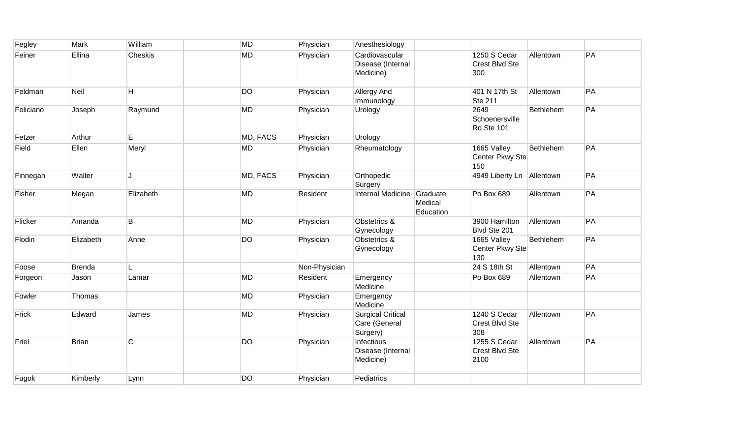| Fegley    | Mark          | William   | <b>MD</b> | Physician     | Anesthesiology                                        |                                  |                                        |                  |    |
|-----------|---------------|-----------|-----------|---------------|-------------------------------------------------------|----------------------------------|----------------------------------------|------------------|----|
| Feiner    | Ellina        | Cheskis   | <b>MD</b> | Physician     | Cardiovascular<br>Disease (Internal<br>Medicine)      |                                  | 1250 S Cedar<br>Crest Blvd Ste<br>300  | Allentown        | PA |
| Feldman   | Neil          | H         | <b>DO</b> | Physician     | Allergy And<br>Immunology                             |                                  | 401 N 17th St<br><b>Ste 211</b>        | Allentown        | PA |
| Feliciano | Joseph        | Raymund   | <b>MD</b> | Physician     | Urology                                               |                                  | 2649<br>Schoenersville<br>Rd Ste 101   | Bethlehem        | PA |
| Fetzer    | Arthur        | E         | MD, FACS  | Physician     | Urology                                               |                                  |                                        |                  |    |
| Field     | Ellen         | Meryl     | <b>MD</b> | Physician     | Rheumatology                                          |                                  | 1665 Valley<br>Center Pkwy Ste<br>150  | <b>Bethlehem</b> | PA |
| Finnegan  | Walter        |           | MD, FACS  | Physician     | Orthopedic<br>Surgery                                 |                                  | 4949 Liberty Ln Allentown              |                  | PA |
| Fisher    | Megan         | Elizabeth | <b>MD</b> | Resident      | Internal Medicine                                     | Graduate<br>Medical<br>Education | Po Box 689                             | Allentown        | PA |
| Flicker   | Amanda        | B         | <b>MD</b> | Physician     | Obstetrics &<br>Gynecology                            |                                  | 3900 Hamilton<br>Blvd Ste 201          | Allentown        | PA |
| Flodin    | Elizabeth     | Anne      | <b>DO</b> | Physician     | Obstetrics &<br>Gynecology                            |                                  | 1665 Valley<br>Center Pkwy Ste<br>130  | Bethlehem        | PA |
| Foose     | <b>Brenda</b> |           |           | Non-Physician |                                                       |                                  | 24 S 18th St                           | Allentown        | PA |
| Forgeon   | Jason         | Lamar     | <b>MD</b> | Resident      | Emergency<br>Medicine                                 |                                  | Po Box 689                             | Allentown        | PA |
| Fowler    | Thomas        |           | <b>MD</b> | Physician     | Emergency<br>Medicine                                 |                                  |                                        |                  |    |
| Frick     | Edward        | James     | <b>MD</b> | Physician     | <b>Surgical Critical</b><br>Care (General<br>Surgery) |                                  | 1240 S Cedar<br>Crest Blvd Ste<br>308  | Allentown        | PA |
| Friel     | <b>Brian</b>  | C         | <b>DO</b> | Physician     | Infectious<br>Disease (Internal<br>Medicine)          |                                  | 1255 S Cedar<br>Crest Blvd Ste<br>2100 | Allentown        | PA |
| Fugok     | Kimberly      | Lynn      | <b>DO</b> | Physician     | Pediatrics                                            |                                  |                                        |                  |    |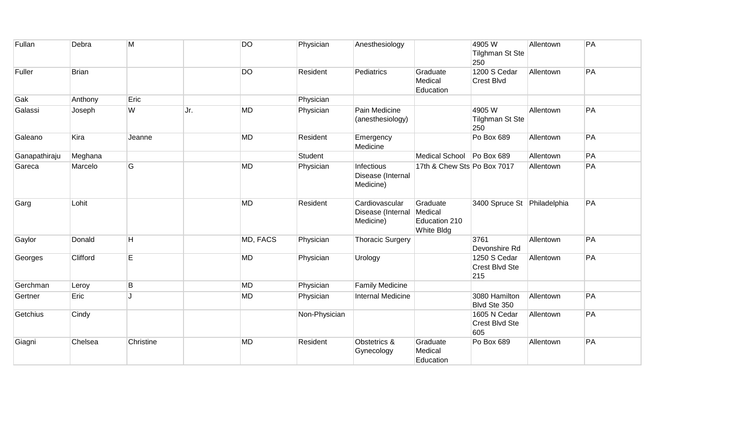| Fullan        | Debra        | M         |      | <b>DO</b> | Physician     | Anesthesiology                                   |                                                    | 4905W<br><b>Tilghman St Ste</b><br>250 | Allentown | PA |
|---------------|--------------|-----------|------|-----------|---------------|--------------------------------------------------|----------------------------------------------------|----------------------------------------|-----------|----|
| Fuller        | <b>Brian</b> |           |      | <b>DO</b> | Resident      | Pediatrics                                       | Graduate<br>Medical<br>Education                   | 1200 S Cedar<br><b>Crest Blvd</b>      | Allentown | PA |
| Gak           | Anthony      | Eric      |      |           | Physician     |                                                  |                                                    |                                        |           |    |
| Galassi       | Joseph       | W         | IJr. | <b>MD</b> | Physician     | Pain Medicine<br>(anesthesiology)                |                                                    | 4905W<br><b>Tilghman St Ste</b><br>250 | Allentown | PA |
| Galeano       | Kira         | Jeanne    |      | <b>MD</b> | Resident      | Emergency<br>Medicine                            |                                                    | Po Box 689                             | Allentown | PA |
| Ganapathiraju | Meghana      |           |      |           | Student       |                                                  | <b>Medical School</b>                              | Po Box 689                             | Allentown | PA |
| Gareca        | Marcelo      | G         |      | <b>MD</b> | Physician     | Infectious<br>Disease (Internal<br>Medicine)     | 17th & Chew Sts Po Box 7017                        |                                        | Allentown | PA |
| Garg          | Lohit        |           |      | <b>MD</b> | Resident      | Cardiovascular<br>Disease (Internal<br>Medicine) | Graduate<br>Medical<br>Education 210<br>White Bldg | 3400 Spruce St Philadelphia            |           | PA |
| Gaylor        | Donald       | H         |      | MD, FACS  | Physician     | <b>Thoracic Surgery</b>                          |                                                    | 3761<br>Devonshire Rd                  | Allentown | PA |
| Georges       | Clifford     | E         |      | <b>MD</b> | Physician     | Urology                                          |                                                    | 1250 S Cedar<br>Crest Blvd Ste<br>215  | Allentown | PA |
| Gerchman      | Leroy        | B         |      | <b>MD</b> | Physician     | <b>Family Medicine</b>                           |                                                    |                                        |           |    |
| Gertner       | Eric         |           |      | <b>MD</b> | Physician     | Internal Medicine                                |                                                    | 3080 Hamilton<br>Blvd Ste 350          | Allentown | PA |
| Getchius      | Cindy        |           |      |           | Non-Physician |                                                  |                                                    | 1605 N Cedar<br>Crest Blvd Ste<br>605  | Allentown | PA |
| Giagni        | Chelsea      | Christine |      | <b>MD</b> | Resident      | Obstetrics &<br>Gynecology                       | Graduate<br>Medical<br>Education                   | Po Box 689                             | Allentown | PA |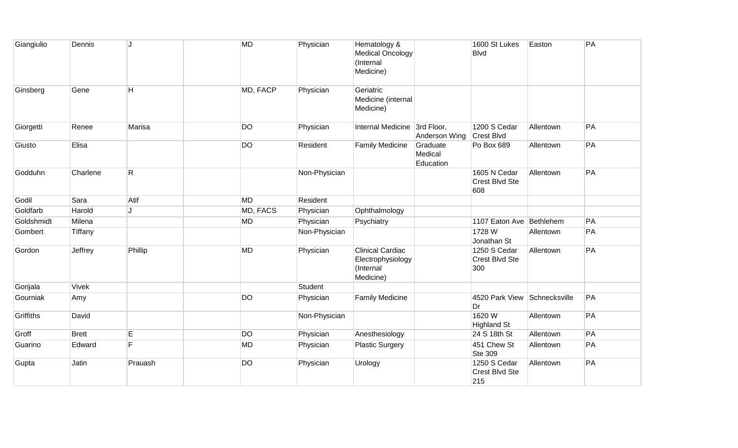| Giangiulio       | Dennis       | IJ             | <b>MD</b> | Physician     | Hematology &<br><b>Medical Oncology</b><br>(Internal<br>Medicine)      |                                  | 1600 St Lukes<br><b>Blvd</b>          | Easton    | PA |
|------------------|--------------|----------------|-----------|---------------|------------------------------------------------------------------------|----------------------------------|---------------------------------------|-----------|----|
| Ginsberg         | Gene         | H              | MD, FACP  | Physician     | Geriatric<br>Medicine (internal<br>Medicine)                           |                                  |                                       |           |    |
| Giorgetti        | Renee        | Marisa         | <b>DO</b> | Physician     | Internal Medicine 3rd Floor,                                           | Anderson Wing                    | 1200 S Cedar<br><b>Crest Blvd</b>     | Allentown | PA |
| Giusto           | Elisa        |                | <b>DO</b> | Resident      | <b>Family Medicine</b>                                                 | Graduate<br>Medical<br>Education | Po Box 689                            | Allentown | PA |
| Godduhn          | Charlene     | $\mathsf{R}$   |           | Non-Physician |                                                                        |                                  | 1605 N Cedar<br>Crest Blvd Ste<br>608 | Allentown | PA |
| Godil            | Sara         | Atif           | <b>MD</b> | Resident      |                                                                        |                                  |                                       |           |    |
| Goldfarb         | Harold       | J              | MD, FACS  | Physician     | Ophthalmology                                                          |                                  |                                       |           |    |
| Goldshmidt       | Milena       |                | <b>MD</b> | Physician     | Psychiatry                                                             |                                  | 1107 Eaton Ave Bethlehem              |           | PA |
| Gombert          | Tiffany      |                |           | Non-Physician |                                                                        |                                  | 1728 W<br>Jonathan St                 | Allentown | PA |
| Gordon           | Jeffrey      | Phillip        | <b>MD</b> | Physician     | <b>Clinical Cardiac</b><br>Electrophysiology<br>(Internal<br>Medicine) |                                  | 1250 S Cedar<br>Crest Blvd Ste<br>300 | Allentown | PA |
| Gorijala         | <b>Vivek</b> |                |           | Student       |                                                                        |                                  |                                       |           |    |
| Gourniak         | Amy          |                | <b>DO</b> | Physician     | <b>Family Medicine</b>                                                 |                                  | 4520 Park View Schnecksville<br>Dr    |           | PA |
| <b>Griffiths</b> | David        |                |           | Non-Physician |                                                                        |                                  | 1620W<br><b>Highland St</b>           | Allentown | PA |
| Groff            | <b>Brett</b> | E              | <b>DO</b> | Physician     | Anesthesiology                                                         |                                  | 24 S 18th St                          | Allentown | PA |
| Guarino          | Edward       | $\overline{F}$ | <b>MD</b> | Physician     | <b>Plastic Surgery</b>                                                 |                                  | 451 Chew St<br><b>Ste 309</b>         | Allentown | PA |
| Gupta            | Jatin        | Prauash        | <b>DO</b> | Physician     | Urology                                                                |                                  | 1250 S Cedar<br>Crest Blvd Ste<br>215 | Allentown | PA |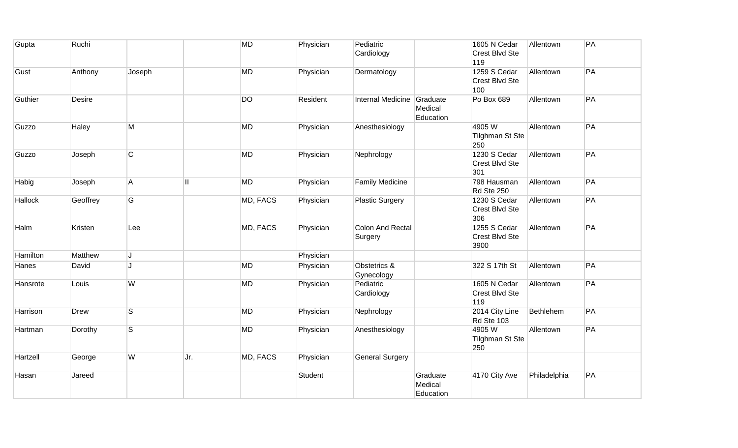| Gupta    | Ruchi       |                         |     | <b>MD</b> | Physician | Pediatric<br>Cardiology            |                                  | 1605 N Cedar<br>Crest Blvd Ste<br>119  | Allentown    | PA |
|----------|-------------|-------------------------|-----|-----------|-----------|------------------------------------|----------------------------------|----------------------------------------|--------------|----|
| Gust     | Anthony     | Joseph                  |     | <b>MD</b> | Physician | Dermatology                        |                                  | 1259 S Cedar<br>Crest Blvd Ste<br>100  | Allentown    | PA |
| Guthier  | Desire      |                         |     | <b>DO</b> | Resident  | <b>Internal Medicine</b>           | Graduate<br>Medical<br>Education | Po Box 689                             | Allentown    | PA |
| Guzzo    | Haley       | М                       |     | <b>MD</b> | Physician | Anesthesiology                     |                                  | 4905W<br>Tilghman St Ste<br>250        | Allentown    | PA |
| Guzzo    | Joseph      | $\overline{C}$          |     | <b>MD</b> | Physician | Nephrology                         |                                  | 1230 S Cedar<br>Crest Blvd Ste<br>301  | Allentown    | PA |
| Habig    | Joseph      | $\mathsf{A}$            | H.  | <b>MD</b> | Physician | <b>Family Medicine</b>             |                                  | 798 Hausman<br>Rd Ste 250              | Allentown    | PA |
| Hallock  | Geoffrey    | G                       |     | MD, FACS  | Physician | <b>Plastic Surgery</b>             |                                  | 1230 S Cedar<br>Crest Blvd Ste<br>306  | Allentown    | PA |
| Halm     | Kristen     | Lee                     |     | MD, FACS  | Physician | <b>Colon And Rectal</b><br>Surgery |                                  | 1255 S Cedar<br>Crest Blvd Ste<br>3900 | Allentown    | PA |
| Hamilton | Matthew     | J                       |     |           | Physician |                                    |                                  |                                        |              |    |
| Hanes    | David       | $\mathbf{I}$ .          |     | MD        | Physician | Obstetrics &<br>Gynecology         |                                  | 322 S 17th St                          | Allentown    | PA |
| Hansrote | Louis       | W                       |     | <b>MD</b> | Physician | Pediatric<br>Cardiology            |                                  | 1605 N Cedar<br>Crest Blvd Ste<br>119  | Allentown    | PA |
| Harrison | <b>Drew</b> | $\overline{\mathbf{s}}$ |     | <b>MD</b> | Physician | Nephrology                         |                                  | 2014 City Line<br>Rd Ste 103           | Bethlehem    | PA |
| Hartman  | Dorothy     | $\mathsf{S}$            |     | <b>MD</b> | Physician | Anesthesiology                     |                                  | 4905W<br><b>Tilghman St Ste</b><br>250 | Allentown    | PA |
| Hartzell | George      | W                       | Jr. | MD, FACS  | Physician | <b>General Surgery</b>             |                                  |                                        |              |    |
| Hasan    | Jareed      |                         |     |           | Student   |                                    | Graduate<br>Medical<br>Education | 4170 City Ave                          | Philadelphia | PA |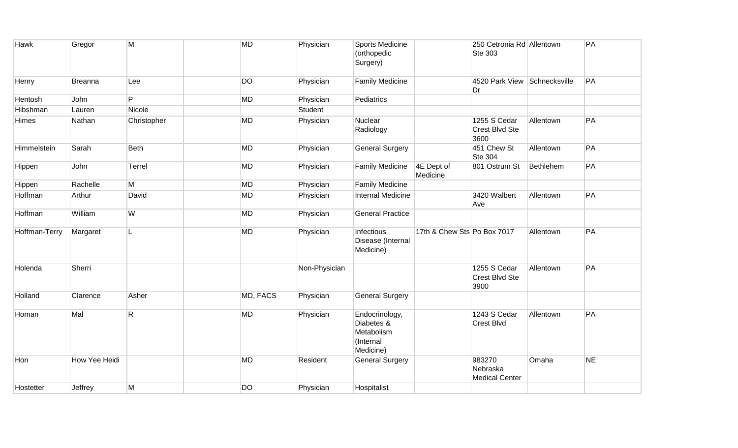| Hawk          | Gregor         | M           | <b>MD</b> | Physician     | Sports Medicine<br>(orthopedic<br>Surgery)                           |                             | 250 Cetronia Rd Allentown<br><b>Ste 303</b> |           | PA        |
|---------------|----------------|-------------|-----------|---------------|----------------------------------------------------------------------|-----------------------------|---------------------------------------------|-----------|-----------|
| Henry         | <b>Breanna</b> | Lee         | <b>DO</b> | Physician     | <b>Family Medicine</b>                                               |                             | 4520 Park View Schnecksville<br>Dr          |           | PA        |
| Hentosh       | John           | P           | MD        | Physician     | Pediatrics                                                           |                             |                                             |           |           |
| Hibshman      | Lauren         | Nicole      |           | Student       |                                                                      |                             |                                             |           |           |
| Himes         | Nathan         | Christopher | <b>MD</b> | Physician     | Nuclear<br>Radiology                                                 |                             | 1255 S Cedar<br>Crest Blvd Ste<br>3600      | Allentown | PA        |
| Himmelstein   | Sarah          | <b>Beth</b> | <b>MD</b> | Physician     | <b>General Surgery</b>                                               |                             | 451 Chew St<br><b>Ste 304</b>               | Allentown | PA        |
| Hippen        | John           | Terrel      | <b>MD</b> | Physician     | <b>Family Medicine</b>                                               | 4E Dept of<br>Medicine      | 801 Ostrum St                               | Bethlehem | PA        |
| Hippen        | Rachelle       | М           | <b>MD</b> | Physician     | <b>Family Medicine</b>                                               |                             |                                             |           |           |
| Hoffman       | Arthur         | David       | <b>MD</b> | Physician     | <b>Internal Medicine</b>                                             |                             | 3420 Walbert<br>Ave                         | Allentown | PA        |
| Hoffman       | William        | W           | <b>MD</b> | Physician     | <b>General Practice</b>                                              |                             |                                             |           |           |
| Hoffman-Terry | Margaret       | L           | <b>MD</b> | Physician     | Infectious<br>Disease (Internal<br>Medicine)                         | 17th & Chew Sts Po Box 7017 |                                             | Allentown | PA        |
| Holenda       | Sherri         |             |           | Non-Physician |                                                                      |                             | 1255 S Cedar<br>Crest Blvd Ste<br>3900      | Allentown | PA        |
| Holland       | Clarence       | Asher       | MD, FACS  | Physician     | <b>General Surgery</b>                                               |                             |                                             |           |           |
| Homan         | Mal            | R           | MD        | Physician     | Endocrinology,<br>Diabetes &<br>Metabolism<br>(Internal<br>Medicine) |                             | 1243 S Cedar<br><b>Crest Blvd</b>           | Allentown | PA        |
| Hon           | How Yee Heidi  |             | MD        | Resident      | <b>General Surgery</b>                                               |                             | 983270<br>Nebraska<br><b>Medical Center</b> | Omaha     | <b>NE</b> |
| Hostetter     | Jeffrey        | M           | <b>DO</b> | Physician     | Hospitalist                                                          |                             |                                             |           |           |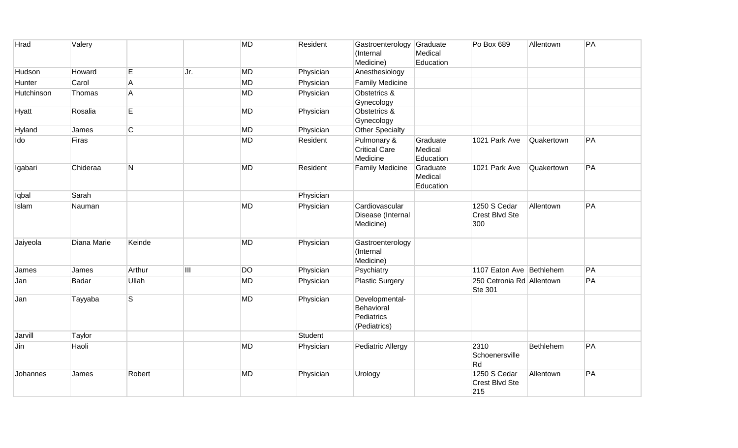| Hrad       | Valery      |                |                                           | <b>MD</b> | Resident  | Gastroenterology Graduate<br>(Internal<br>Medicine)        | Medical<br>Education             | Po Box 689                                  | Allentown  | PA |
|------------|-------------|----------------|-------------------------------------------|-----------|-----------|------------------------------------------------------------|----------------------------------|---------------------------------------------|------------|----|
| Hudson     | Howard      | E              | Jr.                                       | <b>MD</b> | Physician | Anesthesiology                                             |                                  |                                             |            |    |
| Hunter     | Carol       | $\overline{A}$ |                                           | <b>MD</b> | Physician | <b>Family Medicine</b>                                     |                                  |                                             |            |    |
| Hutchinson | Thomas      | $\mathsf{A}$   |                                           | <b>MD</b> | Physician | Obstetrics &<br>Gynecology                                 |                                  |                                             |            |    |
| Hyatt      | Rosalia     | E              |                                           | <b>MD</b> | Physician | Obstetrics &<br>Gynecology                                 |                                  |                                             |            |    |
| Hyland     | James       | $\overline{C}$ |                                           | <b>MD</b> | Physician | Other Specialty                                            |                                  |                                             |            |    |
| Ido        | Firas       |                |                                           | <b>MD</b> | Resident  | Pulmonary &<br><b>Critical Care</b><br>Medicine            | Graduate<br>Medical<br>Education | 1021 Park Ave                               | Quakertown | PA |
| Igabari    | Chideraa    | N              |                                           | <b>MD</b> | Resident  | <b>Family Medicine</b>                                     | Graduate<br>Medical<br>Education | 1021 Park Ave                               | Quakertown | PA |
| Iqbal      | Sarah       |                |                                           |           | Physician |                                                            |                                  |                                             |            |    |
| Islam      | Nauman      |                |                                           | <b>MD</b> | Physician | Cardiovascular<br>Disease (Internal<br>Medicine)           |                                  | 1250 S Cedar<br>Crest Blvd Ste<br>300       | Allentown  | PA |
| Jaiyeola   | Diana Marie | Keinde         |                                           | <b>MD</b> | Physician | Gastroenterology<br>(Internal<br>Medicine)                 |                                  |                                             |            |    |
| James      | James       | Arthur         | $\begin{array}{c} \text{III} \end{array}$ | <b>DO</b> | Physician | Psychiatry                                                 |                                  | 1107 Eaton Ave Bethlehem                    |            | PA |
| Jan        | Badar       | Ullah          |                                           | <b>MD</b> | Physician | <b>Plastic Surgery</b>                                     |                                  | 250 Cetronia Rd Allentown<br><b>Ste 301</b> |            | PA |
| Jan        | Tayyaba     | S.             |                                           | <b>MD</b> | Physician | Developmental-<br>Behavioral<br>Pediatrics<br>(Pediatrics) |                                  |                                             |            |    |
| Jarvill    | Taylor      |                |                                           |           | Student   |                                                            |                                  |                                             |            |    |
| Jin        | Haoli       |                |                                           | <b>MD</b> | Physician | Pediatric Allergy                                          |                                  | 2310<br>Schoenersville<br>Rd                | Bethlehem  | PA |
| Johannes   | James       | Robert         |                                           | <b>MD</b> | Physician | Urology                                                    |                                  | 1250 S Cedar<br>Crest Blvd Ste<br>215       | Allentown  | PA |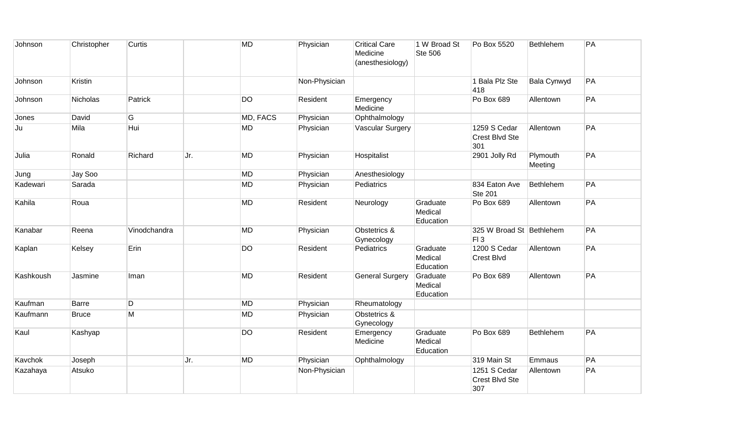| Johnson   | Christopher  | Curtis       |     | <b>MD</b> | Physician     | <b>Critical Care</b><br>Medicine<br>(anesthesiology) | 1 W Broad St<br>Ste 506          | Po Box 5520                                  | Bethlehem           | PA |
|-----------|--------------|--------------|-----|-----------|---------------|------------------------------------------------------|----------------------------------|----------------------------------------------|---------------------|----|
| Johnson   | Kristin      |              |     |           | Non-Physician |                                                      |                                  | 1 Bala Plz Ste<br>418                        | Bala Cynwyd         | PA |
| Johnson   | Nicholas     | Patrick      |     | <b>DO</b> | Resident      | Emergency<br>Medicine                                |                                  | Po Box 689                                   | Allentown           | PA |
| Jones     | David        | G            |     | MD, FACS  | Physician     | Ophthalmology                                        |                                  |                                              |                     |    |
| Ju        | Mila         | Hui          |     | <b>MD</b> | Physician     | <b>Vascular Surgery</b>                              |                                  | 1259 S Cedar<br><b>Crest Blvd Ste</b><br>301 | Allentown           | PA |
| Julia     | Ronald       | Richard      | Jr. | <b>MD</b> | Physician     | Hospitalist                                          |                                  | 2901 Jolly Rd                                | Plymouth<br>Meeting | PA |
| Jung      | Jay Soo      |              |     | <b>MD</b> | Physician     | Anesthesiology                                       |                                  |                                              |                     |    |
| Kadewari  | Sarada       |              |     | <b>MD</b> | Physician     | Pediatrics                                           |                                  | 834 Eaton Ave<br><b>Ste 201</b>              | Bethlehem           | PA |
| Kahila    | Roua         |              |     | <b>MD</b> | Resident      | Neurology                                            | Graduate<br>Medical<br>Education | Po Box 689                                   | Allentown           | PA |
| Kanabar   | Reena        | Vinodchandra |     | <b>MD</b> | Physician     | Obstetrics &<br>Gynecology                           |                                  | 325 W Broad St Bethlehem<br>FI3              |                     | PA |
| Kaplan    | Kelsey       | Erin         |     | <b>DO</b> | Resident      | Pediatrics                                           | Graduate<br>Medical<br>Education | 1200 S Cedar<br><b>Crest Blvd</b>            | Allentown           | PA |
| Kashkoush | Jasmine      | Iman         |     | <b>MD</b> | Resident      | <b>General Surgery</b>                               | Graduate<br>Medical<br>Education | Po Box 689                                   | Allentown           | PA |
| Kaufman   | Barre        | D            |     | <b>MD</b> | Physician     | Rheumatology                                         |                                  |                                              |                     |    |
| Kaufmann  | <b>Bruce</b> | M            |     | <b>MD</b> | Physician     | Obstetrics &<br>Gynecology                           |                                  |                                              |                     |    |
| Kaul      | Kashyap      |              |     | <b>DO</b> | Resident      | Emergency<br>Medicine                                | Graduate<br>Medical<br>Education | Po Box 689                                   | Bethlehem           | PA |
| Kavchok   | Joseph       |              | Jr. | <b>MD</b> | Physician     | Ophthalmology                                        |                                  | 319 Main St                                  | Emmaus              | PA |
| Kazahaya  | Atsuko       |              |     |           | Non-Physician |                                                      |                                  | 1251 S Cedar<br>Crest Blvd Ste<br>307        | Allentown           | PA |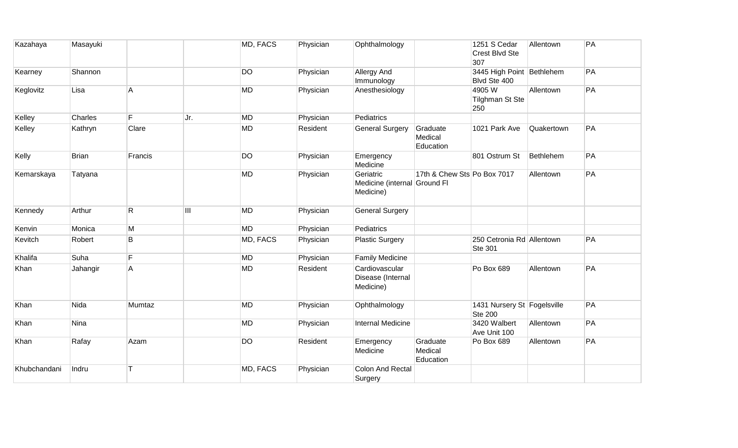| Kazahaya     | Masayuki     |                         |     | MD, FACS  | Physician | Ophthalmology                                          |                                  | 1251 S Cedar<br>Crest Blvd Ste<br>307         | Allentown  | PA |
|--------------|--------------|-------------------------|-----|-----------|-----------|--------------------------------------------------------|----------------------------------|-----------------------------------------------|------------|----|
| Kearney      | Shannon      |                         |     | <b>DO</b> | Physician | Allergy And<br>Immunology                              |                                  | 3445 High Point Bethlehem<br>Blvd Ste 400     |            | PA |
| Keglovitz    | Lisa         | $\overline{\mathsf{A}}$ |     | MD        | Physician | Anesthesiology                                         |                                  | 4905W<br><b>Tilghman St Ste</b><br>250        | Allentown  | PA |
| Kelley       | Charles      | F                       | Jr. | <b>MD</b> | Physician | Pediatrics                                             |                                  |                                               |            |    |
| Kelley       | Kathryn      | Clare                   |     | <b>MD</b> | Resident  | <b>General Surgery</b>                                 | Graduate<br>Medical<br>Education | 1021 Park Ave                                 | Quakertown | PA |
| Kelly        | <b>Brian</b> | Francis                 |     | <b>DO</b> | Physician | Emergency<br>Medicine                                  |                                  | 801 Ostrum St                                 | Bethlehem  | PA |
| Kemarskaya   | Tatyana      |                         |     | <b>MD</b> | Physician | Geriatric<br>Medicine (internal Ground FI<br>Medicine) | 17th & Chew Sts Po Box 7017      |                                               | Allentown  | PA |
| Kennedy      | Arthur       | $\mathsf{R}$            | III | <b>MD</b> | Physician | <b>General Surgery</b>                                 |                                  |                                               |            |    |
| Kenvin       | Monica       | M                       |     | MD        | Physician | Pediatrics                                             |                                  |                                               |            |    |
| Kevitch      | Robert       | B                       |     | MD, FACS  | Physician | <b>Plastic Surgery</b>                                 |                                  | 250 Cetronia Rd Allentown<br><b>Ste 301</b>   |            | PA |
| Khalifa      | Suha         | F                       |     | <b>MD</b> | Physician | <b>Family Medicine</b>                                 |                                  |                                               |            |    |
| Khan         | Jahangir     | $\overline{\mathsf{A}}$ |     | <b>MD</b> | Resident  | Cardiovascular<br>Disease (Internal<br>Medicine)       |                                  | Po Box 689                                    | Allentown  | PA |
| Khan         | Nida         | Mumtaz                  |     | MD        | Physician | Ophthalmology                                          |                                  | 1431 Nursery St Fogelsville<br><b>Ste 200</b> |            | PA |
| Khan         | Nina         |                         |     | <b>MD</b> | Physician | <b>Internal Medicine</b>                               |                                  | 3420 Walbert<br>Ave Unit 100                  | Allentown  | PA |
| Khan         | Rafay        | Azam                    |     | <b>DO</b> | Resident  | Emergency<br>Medicine                                  | Graduate<br>Medical<br>Education | Po Box 689                                    | Allentown  | PA |
| Khubchandani | Indru        |                         |     | MD, FACS  | Physician | <b>Colon And Rectal</b><br>Surgery                     |                                  |                                               |            |    |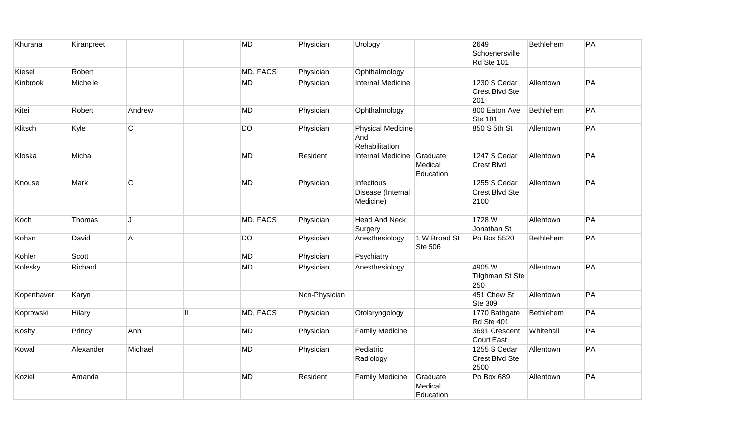| Khurana    | Kiranpreet |                |                         | <b>MD</b> | Physician     | Urology                                           |                                  | 2649<br>Schoenersville<br>Rd Ste 101   | Bethlehem | PA |
|------------|------------|----------------|-------------------------|-----------|---------------|---------------------------------------------------|----------------------------------|----------------------------------------|-----------|----|
| Kiesel     | Robert     |                |                         | MD, FACS  | Physician     | Ophthalmology                                     |                                  |                                        |           |    |
| Kinbrook   | Michelle   |                |                         | <b>MD</b> | Physician     | <b>Internal Medicine</b>                          |                                  | 1230 S Cedar<br>Crest Blvd Ste<br>201  | Allentown | PA |
| Kitei      | Robert     | Andrew         |                         | <b>MD</b> | Physician     | Ophthalmology                                     |                                  | 800 Eaton Ave<br><b>Ste 101</b>        | Bethlehem | PA |
| Klitsch    | Kyle       | $\overline{C}$ |                         | <b>DO</b> | Physician     | <b>Physical Medicine</b><br>And<br>Rehabilitation |                                  | 850 S 5th St                           | Allentown | PA |
| Kloska     | Michal     |                |                         | <b>MD</b> | Resident      | Internal Medicine Graduate                        | Medical<br>Education             | 1247 S Cedar<br>Crest Blvd             | Allentown | PA |
| Knouse     | Mark       | $\overline{C}$ |                         | <b>MD</b> | Physician     | Infectious<br>Disease (Internal<br>Medicine)      |                                  | 1255 S Cedar<br>Crest Blvd Ste<br>2100 | Allentown | PA |
| Koch       | Thomas     | J              |                         | MD, FACS  | Physician     | <b>Head And Neck</b><br>Surgery                   |                                  | 1728 W<br>Jonathan St                  | Allentown | PA |
| Kohan      | David      | $\overline{A}$ |                         | <b>DO</b> | Physician     | Anesthesiology                                    | 1 W Broad St<br><b>Ste 506</b>   | Po Box 5520                            | Bethlehem | PA |
| Kohler     | Scott      |                |                         | <b>MD</b> | Physician     | Psychiatry                                        |                                  |                                        |           |    |
| Kolesky    | Richard    |                |                         | <b>MD</b> | Physician     | Anesthesiology                                    |                                  | 4905W<br><b>Tilghman St Ste</b><br>250 | Allentown | PA |
| Kopenhaver | Karyn      |                |                         |           | Non-Physician |                                                   |                                  | 451 Chew St<br>Ste 309                 | Allentown | PA |
| Koprowski  | Hilary     |                | $\overline{\mathsf{I}}$ | MD, FACS  | Physician     | Otolaryngology                                    |                                  | 1770 Bathgate<br>Rd Ste 401            | Bethlehem | PA |
| Koshy      | Princy     | Ann            |                         | <b>MD</b> | Physician     | <b>Family Medicine</b>                            |                                  | 3691 Crescent<br><b>Court East</b>     | Whitehall | PA |
| Kowal      | Alexander  | Michael        |                         | <b>MD</b> | Physician     | Pediatric<br>Radiology                            |                                  | 1255 S Cedar<br>Crest Blvd Ste<br>2500 | Allentown | PA |
| Koziel     | Amanda     |                |                         | <b>MD</b> | Resident      | <b>Family Medicine</b>                            | Graduate<br>Medical<br>Education | Po Box 689                             | Allentown | PA |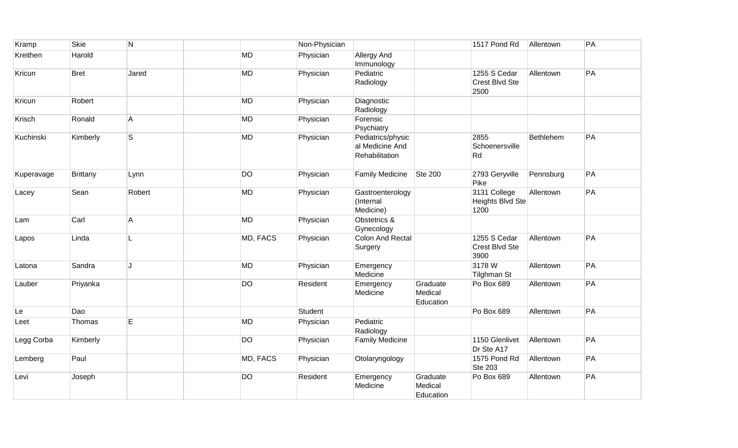| Kramp      | Skie            | $\overline{\mathsf{N}}$ |           | Non-Physician |                                                        |                                  | 1517 Pond Rd                             | Allentown | PA |
|------------|-----------------|-------------------------|-----------|---------------|--------------------------------------------------------|----------------------------------|------------------------------------------|-----------|----|
| Kreithen   | Harold          |                         | <b>MD</b> | Physician     | <b>Allergy And</b><br>Immunology                       |                                  |                                          |           |    |
| Kricun     | <b>Bret</b>     | Jared                   | <b>MD</b> | Physician     | Pediatric<br>Radiology                                 |                                  | 1255 S Cedar<br>Crest Blvd Ste<br>2500   | Allentown | PA |
| Kricun     | Robert          |                         | <b>MD</b> | Physician     | Diagnostic<br>Radiology                                |                                  |                                          |           |    |
| Krisch     | Ronald          | $\overline{A}$          | <b>MD</b> | Physician     | Forensic<br>Psychiatry                                 |                                  |                                          |           |    |
| Kuchinski  | Kimberly        | $\mathsf{s}$            | <b>MD</b> | Physician     | Pediatrics/physic<br>al Medicine And<br>Rehabilitation |                                  | 2855<br>Schoenersville<br>Rd             | Bethlehem | PA |
| Kuperavage | <b>Brittany</b> | Lynn                    | <b>DO</b> | Physician     | <b>Family Medicine</b>                                 | <b>Ste 200</b>                   | 2793 Geryville<br>Pike                   | Pennsburg | PA |
| Lacey      | Sean            | Robert                  | <b>MD</b> | Physician     | Gastroenterology<br>(Internal<br>Medicine)             |                                  | 3131 College<br>Heights Blvd Ste<br>1200 | Allentown | PA |
| Lam        | Carl            | $\mathsf{A}$            | <b>MD</b> | Physician     | Obstetrics &<br>Gynecology                             |                                  |                                          |           |    |
| Lapos      | Linda           | L                       | MD, FACS  | Physician     | <b>Colon And Rectal</b><br>Surgery                     |                                  | 1255 S Cedar<br>Crest Blvd Ste<br>3900   | Allentown | PA |
| Latona     | Sandra          | J                       | MD        | Physician     | Emergency<br>Medicine                                  |                                  | 3178W<br><b>Tilghman St</b>              | Allentown | PA |
| Lauber     | Priyanka        |                         | <b>DO</b> | Resident      | Emergency<br>Medicine                                  | Graduate<br>Medical<br>Education | Po Box 689                               | Allentown | PA |
| Le         | Dao             |                         |           | Student       |                                                        |                                  | Po Box 689                               | Allentown | PA |
| Leet       | Thomas          | E                       | <b>MD</b> | Physician     | Pediatric<br>Radiology                                 |                                  |                                          |           |    |
| Legg Corba | Kimberly        |                         | <b>DO</b> | Physician     | <b>Family Medicine</b>                                 |                                  | 1150 Glenlivet<br>Dr Ste A17             | Allentown | PA |
| Lemberg    | Paul            |                         | MD, FACS  | Physician     | Otolaryngology                                         |                                  | 1575 Pond Rd<br><b>Ste 203</b>           | Allentown | PA |
| Levi       | Joseph          |                         | <b>DO</b> | Resident      | Emergency<br>Medicine                                  | Graduate<br>Medical<br>Education | Po Box 689                               | Allentown | PA |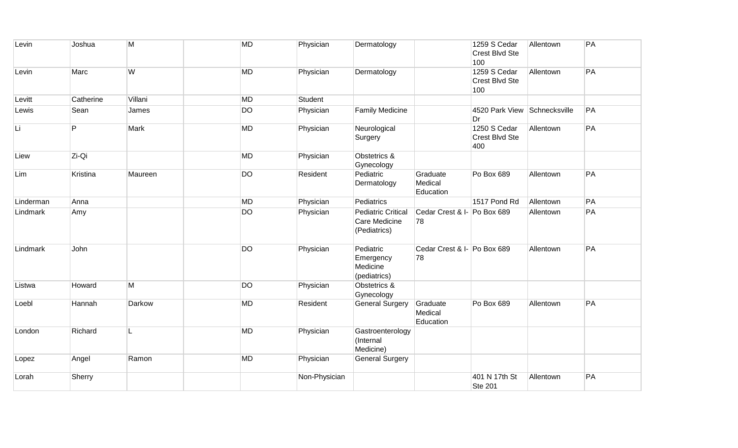| Levin     | Joshua    | M       | <b>MD</b> | Physician     | Dermatology                                                |                                   | 1259 S Cedar<br>Crest Blvd Ste<br>100 | Allentown | PA |
|-----------|-----------|---------|-----------|---------------|------------------------------------------------------------|-----------------------------------|---------------------------------------|-----------|----|
| Levin     | Marc      | W       | <b>MD</b> | Physician     | Dermatology                                                |                                   | 1259 S Cedar<br>Crest Blvd Ste<br>100 | Allentown | PA |
| Levitt    | Catherine | Villani | <b>MD</b> | Student       |                                                            |                                   |                                       |           |    |
| Lewis     | Sean      | James   | <b>DO</b> | Physician     | <b>Family Medicine</b>                                     |                                   | 4520 Park View Schnecksville<br>Dr    |           | PA |
| Li        | P         | Mark    | <b>MD</b> | Physician     | Neurological<br>Surgery                                    |                                   | 1250 S Cedar<br>Crest Blvd Ste<br>400 | Allentown | PA |
| Liew      | Zi-Qi     |         | <b>MD</b> | Physician     | Obstetrics &<br>Gynecology                                 |                                   |                                       |           |    |
| Lim       | Kristina  | Maureen | <b>DO</b> | Resident      | Pediatric<br>Dermatology                                   | Graduate<br>Medical<br>Education  | Po Box 689                            | Allentown | PA |
| Linderman | Anna      |         | <b>MD</b> | Physician     | Pediatrics                                                 |                                   | 1517 Pond Rd                          | Allentown | PA |
| Lindmark  | Amy       |         | <b>DO</b> | Physician     | <b>Pediatric Critical</b><br>Care Medicine<br>(Pediatrics) | Cedar Crest & I- Po Box 689<br>78 |                                       | Allentown | PA |
| Lindmark  | John      |         | <b>DO</b> | Physician     | Pediatric<br>Emergency<br>Medicine<br>(pediatrics)         | Cedar Crest & I- Po Box 689<br>78 |                                       | Allentown | PA |
| Listwa    | Howard    | M       | <b>DO</b> | Physician     | Obstetrics &<br>Gynecology                                 |                                   |                                       |           |    |
| Loebl     | Hannah    | Darkow  | <b>MD</b> | Resident      | <b>General Surgery</b>                                     | Graduate<br>Medical<br>Education  | Po Box 689                            | Allentown | PA |
| London    | Richard   | L       | <b>MD</b> | Physician     | Gastroenterology<br>(Internal<br>Medicine)                 |                                   |                                       |           |    |
| Lopez     | Angel     | Ramon   | MD        | Physician     | <b>General Surgery</b>                                     |                                   |                                       |           |    |
| Lorah     | Sherry    |         |           | Non-Physician |                                                            |                                   | 401 N 17th St<br><b>Ste 201</b>       | Allentown | PA |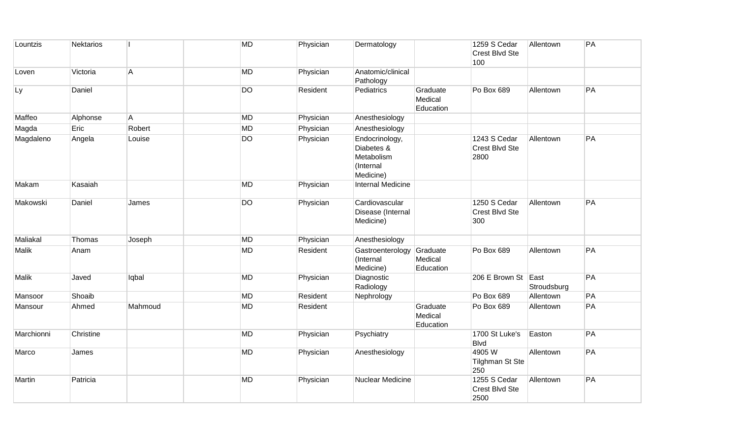| Lountzis     | <b>Nektarios</b> |                | MD        | Physician | Dermatology                                                          |                                  | 1259 S Cedar<br>Crest Blvd Ste<br>100        | Allentown   | PA |
|--------------|------------------|----------------|-----------|-----------|----------------------------------------------------------------------|----------------------------------|----------------------------------------------|-------------|----|
| Loven        | Victoria         | $\overline{A}$ | MD        | Physician | Anatomic/clinical<br>Pathology                                       |                                  |                                              |             |    |
| Ly           | Daniel           |                | <b>DO</b> | Resident  | Pediatrics                                                           | Graduate<br>Medical<br>Education | Po Box 689                                   | Allentown   | PA |
| Maffeo       | Alphonse         | A              | MD        | Physician | Anesthesiology                                                       |                                  |                                              |             |    |
| Magda        | Eric             | Robert         | <b>MD</b> | Physician | Anesthesiology                                                       |                                  |                                              |             |    |
| Magdaleno    | Angela           | Louise         | <b>DO</b> | Physician | Endocrinology,<br>Diabetes &<br>Metabolism<br>(Internal<br>Medicine) |                                  | 1243 S Cedar<br>Crest Blvd Ste<br>2800       | Allentown   | PA |
| Makam        | Kasaiah          |                | <b>MD</b> | Physician | <b>Internal Medicine</b>                                             |                                  |                                              |             |    |
| Makowski     | Daniel           | James          | <b>DO</b> | Physician | Cardiovascular<br>Disease (Internal<br>Medicine)                     |                                  | 1250 S Cedar<br><b>Crest Blvd Ste</b><br>300 | Allentown   | PA |
| Maliakal     | Thomas           | Joseph         | <b>MD</b> | Physician | Anesthesiology                                                       |                                  |                                              |             |    |
| <b>Malik</b> | Anam             |                | MD        | Resident  | Gastroenterology<br>(Internal<br>Medicine)                           | Graduate<br>Medical<br>Education | Po Box 689                                   | Allentown   | PA |
| Malik        | Javed            | lqbal          | <b>MD</b> | Physician | Diagnostic<br>Radiology                                              |                                  | 206 E Brown St East                          | Stroudsburg | PA |
| Mansoor      | Shoaib           |                | <b>MD</b> | Resident  | Nephrology                                                           |                                  | Po Box 689                                   | Allentown   | PA |
| Mansour      | Ahmed            | Mahmoud        | MD        | Resident  |                                                                      | Graduate<br>Medical<br>Education | Po Box 689                                   | Allentown   | PA |
| Marchionni   | Christine        |                | <b>MD</b> | Physician | Psychiatry                                                           |                                  | 1700 St Luke's<br><b>Blvd</b>                | Easton      | PA |
| Marco        | James            |                | MD        | Physician | Anesthesiology                                                       |                                  | 4905 W<br><b>Tilghman St Ste</b><br>250      | Allentown   | PA |
| Martin       | Patricia         |                | MD        | Physician | Nuclear Medicine                                                     |                                  | 1255 S Cedar<br>Crest Blvd Ste<br>2500       | Allentown   | PA |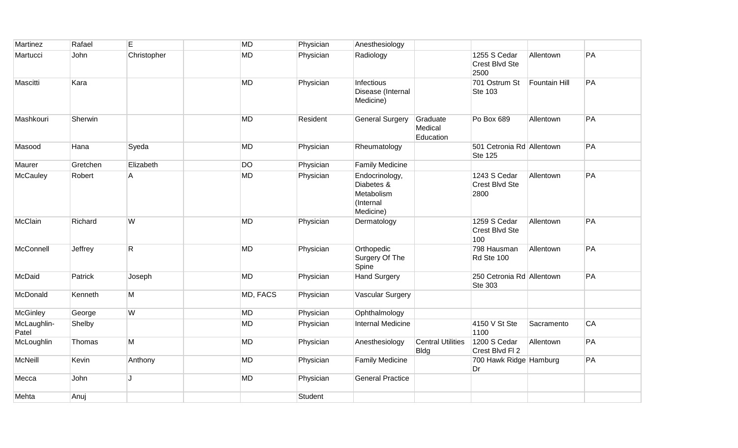| Martinez             | Rafael   | E            | <b>MD</b> | Physician | Anesthesiology                                                       |                                         |                                             |                      |    |
|----------------------|----------|--------------|-----------|-----------|----------------------------------------------------------------------|-----------------------------------------|---------------------------------------------|----------------------|----|
| Martucci             | John     | Christopher  | <b>MD</b> | Physician | Radiology                                                            |                                         | 1255 S Cedar<br>Crest Blvd Ste<br>2500      | Allentown            | PA |
| Mascitti             | Kara     |              | <b>MD</b> | Physician | Infectious<br>Disease (Internal<br>Medicine)                         |                                         | 701 Ostrum St<br><b>Ste 103</b>             | <b>Fountain Hill</b> | PA |
| Mashkouri            | Sherwin  |              | <b>MD</b> | Resident  | <b>General Surgery</b>                                               | Graduate<br>Medical<br>Education        | Po Box 689                                  | Allentown            | PA |
| Masood               | Hana     | Syeda        | <b>MD</b> | Physician | Rheumatology                                                         |                                         | 501 Cetronia Rd Allentown<br><b>Ste 125</b> |                      | PA |
| Maurer               | Gretchen | Elizabeth    | <b>DO</b> | Physician | <b>Family Medicine</b>                                               |                                         |                                             |                      |    |
| McCauley             | Robert   | A            | <b>MD</b> | Physician | Endocrinology,<br>Diabetes &<br>Metabolism<br>(Internal<br>Medicine) |                                         | 1243 S Cedar<br>Crest Blvd Ste<br>2800      | Allentown            | PA |
| McClain              | Richard  | W            | <b>MD</b> | Physician | Dermatology                                                          |                                         | 1259 S Cedar<br>Crest Blvd Ste<br>100       | Allentown            | PA |
| McConnell            | Jeffrey  | $\mathsf{R}$ | <b>MD</b> | Physician | Orthopedic<br>Surgery Of The<br>Spine                                |                                         | 798 Hausman<br>Rd Ste 100                   | Allentown            | PA |
| McDaid               | Patrick  | Joseph       | <b>MD</b> | Physician | <b>Hand Surgery</b>                                                  |                                         | 250 Cetronia Rd Allentown<br>Ste 303        |                      | PA |
| McDonald             | Kenneth  | M            | MD, FACS  | Physician | <b>Vascular Surgery</b>                                              |                                         |                                             |                      |    |
| <b>McGinley</b>      | George   | W            | <b>MD</b> | Physician | Ophthalmology                                                        |                                         |                                             |                      |    |
| McLaughlin-<br>Patel | Shelby   |              | <b>MD</b> | Physician | Internal Medicine                                                    |                                         | 4150 V St Ste<br>1100                       | Sacramento           | CA |
| McLoughlin           | Thomas   | M            | <b>MD</b> | Physician | Anesthesiology                                                       | <b>Central Utilities</b><br><b>Bldg</b> | 1200 S Cedar<br>Crest Blvd Fl 2             | Allentown            | PA |
| McNeill              | Kevin    | Anthony      | <b>MD</b> | Physician | <b>Family Medicine</b>                                               |                                         | 700 Hawk Ridge Hamburg<br>Dr                |                      | PA |
| Mecca                | John     | J            | <b>MD</b> | Physician | <b>General Practice</b>                                              |                                         |                                             |                      |    |
| Mehta                | Anuj     |              |           | Student   |                                                                      |                                         |                                             |                      |    |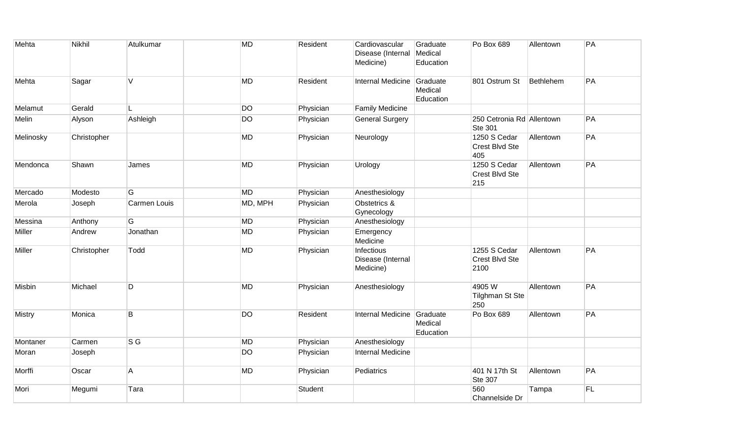| Mehta         | Nikhil      | Atulkumar    | <b>MD</b> | Resident  | Cardiovascular<br>Disease (Internal<br>Medicine) | Graduate<br>Medical<br>Education | Po Box 689                                  | Allentown | PA |
|---------------|-------------|--------------|-----------|-----------|--------------------------------------------------|----------------------------------|---------------------------------------------|-----------|----|
| Mehta         | Sagar       | V            | <b>MD</b> | Resident  | Internal Medicine                                | Graduate<br>Medical<br>Education | 801 Ostrum St                               | Bethlehem | PA |
| Melamut       | Gerald      | L.           | <b>DO</b> | Physician | <b>Family Medicine</b>                           |                                  |                                             |           |    |
| Melin         | Alyson      | Ashleigh     | <b>DO</b> | Physician | <b>General Surgery</b>                           |                                  | 250 Cetronia Rd Allentown<br><b>Ste 301</b> |           | PA |
| Melinosky     | Christopher |              | <b>MD</b> | Physician | Neurology                                        |                                  | 1250 S Cedar<br>Crest Blvd Ste<br>405       | Allentown | PA |
| Mendonca      | Shawn       | James        | <b>MD</b> | Physician | Urology                                          |                                  | 1250 S Cedar<br>Crest Blvd Ste<br>215       | Allentown | PA |
| Mercado       | Modesto     | G            | <b>MD</b> | Physician | Anesthesiology                                   |                                  |                                             |           |    |
| Merola        | Joseph      | Carmen Louis | MD, MPH   | Physician | Obstetrics &<br>Gynecology                       |                                  |                                             |           |    |
| Messina       | Anthony     | G            | <b>MD</b> | Physician | Anesthesiology                                   |                                  |                                             |           |    |
| Miller        | Andrew      | Jonathan     | <b>MD</b> | Physician | Emergency<br>Medicine                            |                                  |                                             |           |    |
| Miller        | Christopher | Todd         | <b>MD</b> | Physician | Infectious<br>Disease (Internal<br>Medicine)     |                                  | 1255 S Cedar<br>Crest Blvd Ste<br>2100      | Allentown | PA |
| Misbin        | Michael     | D            | <b>MD</b> | Physician | Anesthesiology                                   |                                  | 4905W<br><b>Tilghman St Ste</b><br>250      | Allentown | PA |
| <b>Mistry</b> | Monica      | B            | <b>DO</b> | Resident  | Internal Medicine                                | Graduate<br>Medical<br>Education | Po Box 689                                  | Allentown | PA |
| Montaner      | Carmen      | $S$ G        | <b>MD</b> | Physician | Anesthesiology                                   |                                  |                                             |           |    |
| Moran         | Joseph      |              | DO        | Physician | Internal Medicine                                |                                  |                                             |           |    |
| Morffi        | Oscar       | A            | <b>MD</b> | Physician | Pediatrics                                       |                                  | 401 N 17th St<br><b>Ste 307</b>             | Allentown | PA |
| Mori          | Megumi      | Tara         |           | Student   |                                                  |                                  | 560<br>Channelside Dr                       | Tampa     | FL |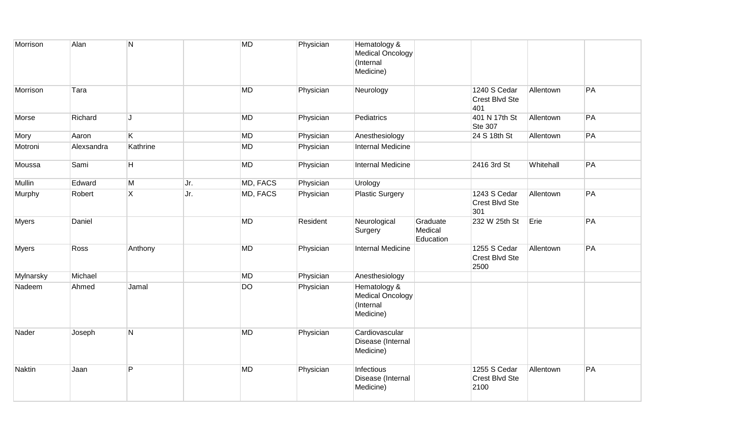| Morrison     | Alan       | N              |     | <b>MD</b> | Physician | Hematology &<br>Medical Oncology<br>(Internal<br>Medicine) |                                  |                                        |           |    |
|--------------|------------|----------------|-----|-----------|-----------|------------------------------------------------------------|----------------------------------|----------------------------------------|-----------|----|
| Morrison     | Tara       |                |     | <b>MD</b> | Physician | Neurology                                                  |                                  | 1240 S Cedar<br>Crest Blvd Ste<br>401  | Allentown | PA |
| Morse        | Richard    | J              |     | MD        | Physician | Pediatrics                                                 |                                  | 401 N 17th St<br><b>Ste 307</b>        | Allentown | PA |
| Mory         | Aaron      | K.             |     | <b>MD</b> | Physician | Anesthesiology                                             |                                  | 24 S 18th St                           | Allentown | PA |
| Motroni      | Alexsandra | Kathrine       |     | <b>MD</b> | Physician | <b>Internal Medicine</b>                                   |                                  |                                        |           |    |
| Moussa       | Sami       | H.             |     | <b>MD</b> | Physician | <b>Internal Medicine</b>                                   |                                  | 2416 3rd St                            | Whitehall | PA |
| Mullin       | Edward     | M              | Jr. | MD, FACS  | Physician | Urology                                                    |                                  |                                        |           |    |
| Murphy       | Robert     | $\overline{X}$ | Jr. | MD, FACS  | Physician | <b>Plastic Surgery</b>                                     |                                  | 1243 S Cedar<br>Crest Blvd Ste<br>301  | Allentown | PA |
| <b>Myers</b> | Daniel     |                |     | <b>MD</b> | Resident  | Neurological<br>Surgery                                    | Graduate<br>Medical<br>Education | 232 W 25th St                          | Erie      | PA |
| <b>Myers</b> | Ross       | Anthony        |     | <b>MD</b> | Physician | <b>Internal Medicine</b>                                   |                                  | 1255 S Cedar<br>Crest Blvd Ste<br>2500 | Allentown | PA |
| Mylnarsky    | Michael    |                |     | <b>MD</b> | Physician | Anesthesiology                                             |                                  |                                        |           |    |
| Nadeem       | Ahmed      | Jamal          |     | <b>DO</b> | Physician | Hematology &<br>Medical Oncology<br>(Internal<br>Medicine) |                                  |                                        |           |    |
| Nader        | Joseph     | N              |     | <b>MD</b> | Physician | Cardiovascular<br>Disease (Internal<br>Medicine)           |                                  |                                        |           |    |
| Naktin       | Jaan       | P              |     | <b>MD</b> | Physician | Infectious<br>Disease (Internal<br>Medicine)               |                                  | 1255 S Cedar<br>Crest Blvd Ste<br>2100 | Allentown | PA |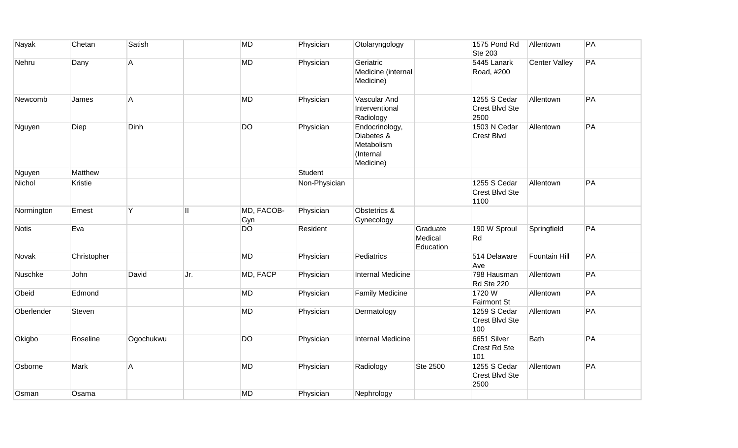| Nayak        | Chetan      | Satish    |     | <b>MD</b>         | Physician     | Otolaryngology                                                       |                                  | 1575 Pond Rd<br><b>Ste 203</b>                | Allentown            | PA |
|--------------|-------------|-----------|-----|-------------------|---------------|----------------------------------------------------------------------|----------------------------------|-----------------------------------------------|----------------------|----|
| Nehru        | Dany        | A         |     | <b>MD</b>         | Physician     | Geriatric<br>Medicine (internal<br>Medicine)                         |                                  | 5445 Lanark<br>Road, #200                     | <b>Center Valley</b> | PA |
| Newcomb      | James       | A         |     | <b>MD</b>         | Physician     | Vascular And<br>Interventional<br>Radiology                          |                                  | 1255 S Cedar<br>Crest Blvd Ste<br>2500        | Allentown            | PA |
| Nguyen       | Diep        | Dinh      |     | <b>DO</b>         | Physician     | Endocrinology,<br>Diabetes &<br>Metabolism<br>(Internal<br>Medicine) |                                  | 1503 N Cedar<br>Crest Blvd                    | Allentown            | PA |
| Nguyen       | Matthew     |           |     |                   | Student       |                                                                      |                                  |                                               |                      |    |
| Nichol       | Kristie     |           |     |                   | Non-Physician |                                                                      |                                  | 1255 S Cedar<br>Crest Blvd Ste<br>1100        | Allentown            | PA |
| Normington   | Ernest      | Y         | Ш   | MD, FACOB-<br>Gyn | Physician     | Obstetrics &<br>Gynecology                                           |                                  |                                               |                      |    |
| <b>Notis</b> | Eva         |           |     | DO                | Resident      |                                                                      | Graduate<br>Medical<br>Education | 190 W Sproul<br>Rd                            | Springfield          | PA |
| Novak        | Christopher |           |     | MD                | Physician     | Pediatrics                                                           |                                  | 514 Delaware<br>Ave                           | Fountain Hill        | PA |
| Nuschke      | John        | David     | Jr. | MD, FACP          | Physician     | Internal Medicine                                                    |                                  | 798 Hausman<br>Rd Ste 220                     | Allentown            | PA |
| Obeid        | Edmond      |           |     | <b>MD</b>         | Physician     | <b>Family Medicine</b>                                               |                                  | 1720W<br><b>Fairmont St</b>                   | Allentown            | PA |
| Oberlender   | Steven      |           |     | <b>MD</b>         | Physician     | Dermatology                                                          |                                  | 1259 S Cedar<br>Crest Blvd Ste<br>100         | Allentown            | PA |
| Okigbo       | Roseline    | Ogochukwu |     | <b>DO</b>         | Physician     | <b>Internal Medicine</b>                                             |                                  | 6651 Silver<br>Crest Rd Ste<br>101            | Bath                 | PA |
| Osborne      | Mark        | A         |     | <b>MD</b>         | Physician     | Radiology                                                            | Ste 2500                         | 1255 S Cedar<br><b>Crest Blvd Ste</b><br>2500 | Allentown            | PA |
| Osman        | Osama       |           |     | <b>MD</b>         | Physician     | Nephrology                                                           |                                  |                                               |                      |    |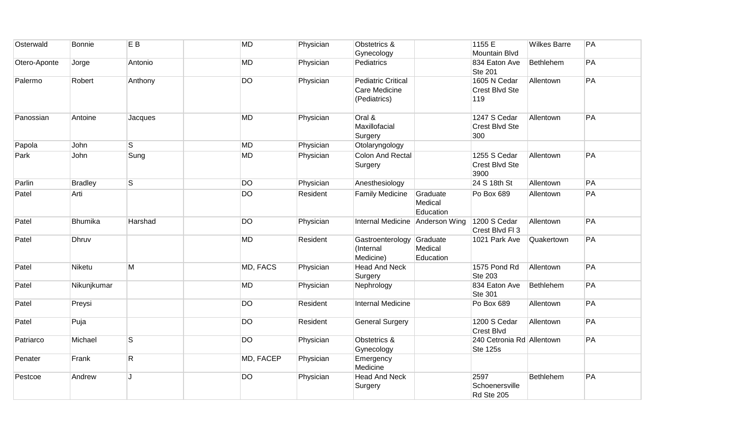| Osterwald    | <b>Bonnie</b>  | E <sub>B</sub>          | <b>MD</b> | Physician | Obstetrics &<br>Gynecology                                 |                                  | 1155 E<br><b>Mountain Blvd</b>               | <b>Wilkes Barre</b> | PA |
|--------------|----------------|-------------------------|-----------|-----------|------------------------------------------------------------|----------------------------------|----------------------------------------------|---------------------|----|
| Otero-Aponte | Jorge          | Antonio                 | <b>MD</b> | Physician | Pediatrics                                                 |                                  | 834 Eaton Ave<br><b>Ste 201</b>              | Bethlehem           | PA |
| Palermo      | Robert         | Anthony                 | <b>DO</b> | Physician | <b>Pediatric Critical</b><br>Care Medicine<br>(Pediatrics) |                                  | 1605 N Cedar<br>Crest Blvd Ste<br>119        | Allentown           | PA |
| Panossian    | Antoine        | Jacques                 | MD        | Physician | Oral &<br>Maxillofacial<br>Surgery                         |                                  | 1247 S Cedar<br>Crest Blvd Ste<br>300        | Allentown           | PA |
| Papola       | John           | $\mathsf{s}$            | <b>MD</b> | Physician | Otolaryngology                                             |                                  |                                              |                     |    |
| Park         | John           | Sung                    | MD        | Physician | <b>Colon And Rectal</b><br>Surgery                         |                                  | 1255 S Cedar<br>Crest Blvd Ste<br>3900       | Allentown           | PA |
| Parlin       | <b>Bradley</b> | $\overline{\mathsf{s}}$ | <b>DO</b> | Physician | Anesthesiology                                             |                                  | 24 S 18th St                                 | Allentown           | PA |
| Patel        | Arti           |                         | <b>DO</b> | Resident  | <b>Family Medicine</b>                                     | Graduate<br>Medical<br>Education | Po Box 689                                   | Allentown           | PA |
| Patel        | <b>Bhumika</b> | Harshad                 | <b>DO</b> | Physician | Internal Medicine Anderson Wing                            |                                  | 1200 S Cedar<br>Crest Blvd Fl 3              | Allentown           | PA |
| Patel        | Dhruv          |                         | <b>MD</b> | Resident  | Gastroenterology<br>(Internal<br>Medicine)                 | Graduate<br>Medical<br>Education | 1021 Park Ave                                | Quakertown          | PA |
| Patel        | Niketu         | M                       | MD, FACS  | Physician | <b>Head And Neck</b><br>Surgery                            |                                  | 1575 Pond Rd<br><b>Ste 203</b>               | Allentown           | PA |
| Patel        | Nikunjkumar    |                         | MD        | Physician | Nephrology                                                 |                                  | 834 Eaton Ave<br><b>Ste 301</b>              | Bethlehem           | PA |
| Patel        | Preysi         |                         | <b>DO</b> | Resident  | <b>Internal Medicine</b>                                   |                                  | Po Box 689                                   | Allentown           | PA |
| Patel        | Puja           |                         | <b>DO</b> | Resident  | <b>General Surgery</b>                                     |                                  | 1200 S Cedar<br><b>Crest Blvd</b>            | Allentown           | PA |
| Patriarco    | Michael        | $\mathsf S$             | <b>DO</b> | Physician | Obstetrics &<br>Gynecology                                 |                                  | 240 Cetronia Rd Allentown<br><b>Ste 125s</b> |                     | PA |
| Penater      | Frank          | $\mathsf{R}$            | MD, FACEP | Physician | Emergency<br>Medicine                                      |                                  |                                              |                     |    |
| Pestcoe      | Andrew         | J.                      | <b>DO</b> | Physician | <b>Head And Neck</b><br>Surgery                            |                                  | 2597<br>Schoenersville<br>Rd Ste 205         | Bethlehem           | PA |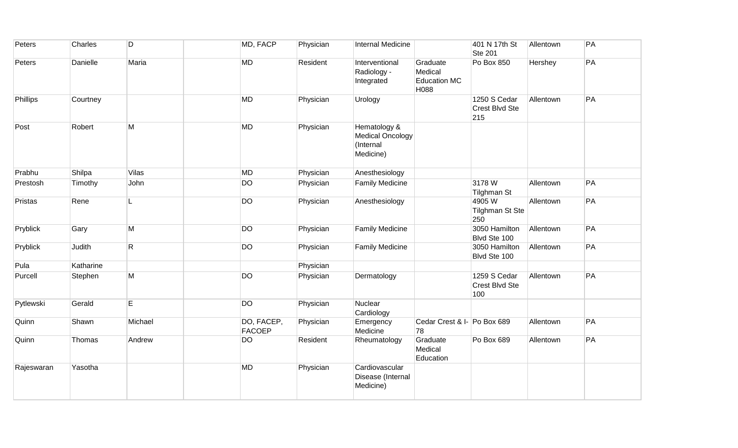| Peters     | Charles   | D       | MD, FACP                    | Physician | Internal Medicine                                                 |                                                    | 401 N 17th St<br><b>Ste 201</b>         | Allentown | PA |
|------------|-----------|---------|-----------------------------|-----------|-------------------------------------------------------------------|----------------------------------------------------|-----------------------------------------|-----------|----|
| Peters     | Danielle  | Maria   | <b>MD</b>                   | Resident  | Interventional<br>Radiology -<br>Integrated                       | Graduate<br>Medical<br><b>Education MC</b><br>H088 | Po Box 850                              | Hershey   | PA |
| Phillips   | Courtney  |         | MD                          | Physician | Urology                                                           |                                                    | 1250 S Cedar<br>Crest Blvd Ste<br>215   | Allentown | PA |
| Post       | Robert    | М       | <b>MD</b>                   | Physician | Hematology &<br><b>Medical Oncology</b><br>(Internal<br>Medicine) |                                                    |                                         |           |    |
| Prabhu     | Shilpa    | Vilas   | <b>MD</b>                   | Physician | Anesthesiology                                                    |                                                    |                                         |           |    |
| Prestosh   | Timothy   | John    | DO                          | Physician | <b>Family Medicine</b>                                            |                                                    | 3178W<br>Tilghman St                    | Allentown | PA |
| Pristas    | Rene      |         | <b>DO</b>                   | Physician | Anesthesiology                                                    |                                                    | 4905 W<br><b>Tilghman St Ste</b><br>250 | Allentown | PA |
| Pryblick   | Gary      | M       | <b>DO</b>                   | Physician | <b>Family Medicine</b>                                            |                                                    | 3050 Hamilton<br>Blvd Ste 100           | Allentown | PA |
| Pryblick   | Judith    | R.      | <b>DO</b>                   | Physician | <b>Family Medicine</b>                                            |                                                    | 3050 Hamilton<br>Blvd Ste 100           | Allentown | PA |
| Pula       | Katharine |         |                             | Physician |                                                                   |                                                    |                                         |           |    |
| Purcell    | Stephen   | М       | <b>DO</b>                   | Physician | Dermatology                                                       |                                                    | 1259 S Cedar<br>Crest Blvd Ste<br>100   | Allentown | PA |
| Pytlewski  | Gerald    | E       | <b>DO</b>                   | Physician | Nuclear<br>Cardiology                                             |                                                    |                                         |           |    |
| Quinn      | Shawn     | Michael | DO, FACEP,<br><b>FACOEP</b> | Physician | Emergency<br>Medicine                                             | Cedar Crest & I- Po Box 689<br>78                  |                                         | Allentown | PA |
| Quinn      | Thomas    | Andrew  | <b>DO</b>                   | Resident  | Rheumatology                                                      | Graduate<br>Medical<br>Education                   | Po Box 689                              | Allentown | PA |
| Rajeswaran | Yasotha   |         | MD                          | Physician | Cardiovascular<br>Disease (Internal<br>Medicine)                  |                                                    |                                         |           |    |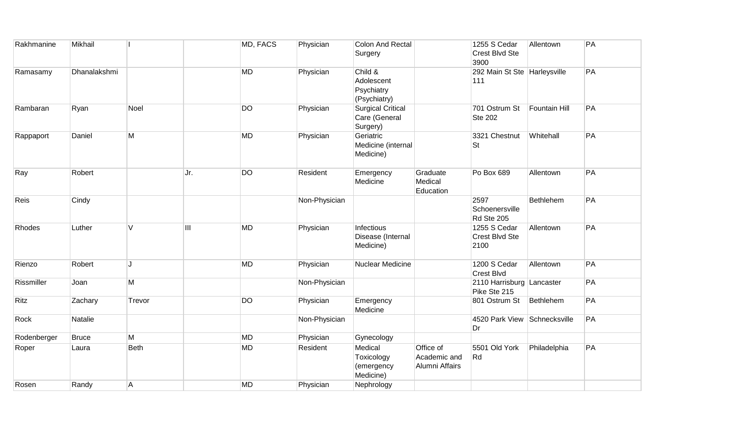| Rakhmanine  | Mikhail      |             |      | MD, FACS  | Physician     | <b>Colon And Rectal</b><br>Surgery                    |                                             | 1255 S Cedar<br>Crest Blvd Ste<br>3900    | Allentown     | PA |
|-------------|--------------|-------------|------|-----------|---------------|-------------------------------------------------------|---------------------------------------------|-------------------------------------------|---------------|----|
| Ramasamy    | Dhanalakshmi |             |      | <b>MD</b> | Physician     | Child &<br>Adolescent<br>Psychiatry<br>(Psychiatry)   |                                             | 292 Main St Ste Harleysville<br>111       |               | PA |
| Rambaran    | Ryan         | Noel        |      | <b>DO</b> | Physician     | <b>Surgical Critical</b><br>Care (General<br>Surgery) |                                             | 701 Ostrum St<br><b>Ste 202</b>           | Fountain Hill | PA |
| Rappaport   | Daniel       | M           |      | <b>MD</b> | Physician     | Geriatric<br>Medicine (internal<br>Medicine)          |                                             | 3321 Chestnut<br><b>St</b>                | Whitehall     | PA |
| Ray         | Robert       |             | IJr. | <b>DO</b> | Resident      | Emergency<br>Medicine                                 | Graduate<br>Medical<br>Education            | Po Box 689                                | Allentown     | PA |
| Reis        | Cindy        |             |      |           | Non-Physician |                                                       |                                             | 2597<br>Schoenersville<br>Rd Ste 205      | Bethlehem     | PA |
| Rhodes      | Luther       | V           | Ш    | <b>MD</b> | Physician     | Infectious<br>Disease (Internal<br>Medicine)          |                                             | 1255 S Cedar<br>Crest Blvd Ste<br>2100    | Allentown     | PA |
| Rienzo      | Robert       | J.          |      | <b>MD</b> | Physician     | Nuclear Medicine                                      |                                             | 1200 S Cedar<br>Crest Blvd                | Allentown     | PA |
| Rissmiller  | Joan         | M           |      |           | Non-Physician |                                                       |                                             | 2110 Harrisburg Lancaster<br>Pike Ste 215 |               | PA |
| Ritz        | Zachary      | Trevor      |      | <b>DO</b> | Physician     | Emergency<br>Medicine                                 |                                             | 801 Ostrum St                             | Bethlehem     | PA |
| Rock        | Natalie      |             |      |           | Non-Physician |                                                       |                                             | 4520 Park View Schnecksville<br>Dr        |               | PA |
| Rodenberger | <b>Bruce</b> | M           |      | <b>MD</b> | Physician     | Gynecology                                            |                                             |                                           |               |    |
| Roper       | Laura        | <b>Beth</b> |      | <b>MD</b> | Resident      | Medical<br>Toxicology<br>(emergency<br>Medicine)      | Office of<br>Academic and<br>Alumni Affairs | 5501 Old York<br>Rd                       | Philadelphia  | PA |
| Rosen       | Randy        | A           |      | <b>MD</b> | Physician     | Nephrology                                            |                                             |                                           |               |    |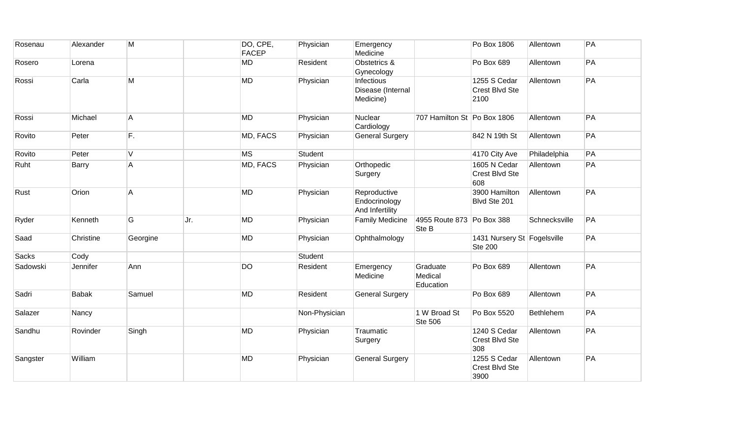| Rosenau  | Alexander    | M              |     | DO, CPE,<br>FACEP | Physician     | Emergency<br>Medicine                            |                                    | Po Box 1806                                   | Allentown     | PA |
|----------|--------------|----------------|-----|-------------------|---------------|--------------------------------------------------|------------------------------------|-----------------------------------------------|---------------|----|
| Rosero   | Lorena       |                |     | MD                | Resident      | Obstetrics &<br>Gynecology                       |                                    | Po Box 689                                    | Allentown     | PA |
| Rossi    | Carla        | M              |     | <b>MD</b>         | Physician     | Infectious<br>Disease (Internal<br>Medicine)     |                                    | 1255 S Cedar<br>Crest Blvd Ste<br>2100        | Allentown     | PA |
| Rossi    | Michael      | A              |     | <b>MD</b>         | Physician     | Nuclear<br>Cardiology                            | 707 Hamilton St Po Box 1806        |                                               | Allentown     | PA |
| Rovito   | Peter        | F.             |     | MD, FACS          | Physician     | <b>General Surgery</b>                           |                                    | 842 N 19th St                                 | Allentown     | PA |
| Rovito   | Peter        | $\overline{V}$ |     | <b>MS</b>         | Student       |                                                  |                                    | 4170 City Ave                                 | Philadelphia  | PA |
| Ruht     | Barry        | A              |     | MD, FACS          | Physician     | Orthopedic<br>Surgery                            |                                    | 1605 N Cedar<br>Crest Blvd Ste<br>608         | Allentown     | PA |
| Rust     | Orion        | $\mathsf{A}$   |     | <b>MD</b>         | Physician     | Reproductive<br>Endocrinology<br>And Infertility |                                    | 3900 Hamilton<br>Blvd Ste 201                 | Allentown     | PA |
| Ryder    | Kenneth      | G              | Jr. | <b>MD</b>         | Physician     | <b>Family Medicine</b>                           | 4955 Route 873 Po Box 388<br>Ste B |                                               | Schnecksville | PA |
| Saad     | Christine    | Georgine       |     | <b>MD</b>         | Physician     | Ophthalmology                                    |                                    | 1431 Nursery St Fogelsville<br><b>Ste 200</b> |               | PA |
| Sacks    | Cody         |                |     |                   | Student       |                                                  |                                    |                                               |               |    |
| Sadowski | Jennifer     | Ann            |     | <b>DO</b>         | Resident      | Emergency<br>Medicine                            | Graduate<br>Medical<br>Education   | Po Box 689                                    | Allentown     | PA |
| Sadri    | <b>Babak</b> | Samuel         |     | <b>MD</b>         | Resident      | <b>General Surgery</b>                           |                                    | Po Box 689                                    | Allentown     | PA |
| Salazer  | Nancy        |                |     |                   | Non-Physician |                                                  | 1 W Broad St<br>Ste 506            | Po Box 5520                                   | Bethlehem     | PA |
| Sandhu   | Rovinder     | Singh          |     | <b>MD</b>         | Physician     | Traumatic<br>Surgery                             |                                    | 1240 S Cedar<br>Crest Blvd Ste<br>308         | Allentown     | PA |
| Sangster | William      |                |     | <b>MD</b>         | Physician     | <b>General Surgery</b>                           |                                    | 1255 S Cedar<br>Crest Blvd Ste<br>3900        | Allentown     | PA |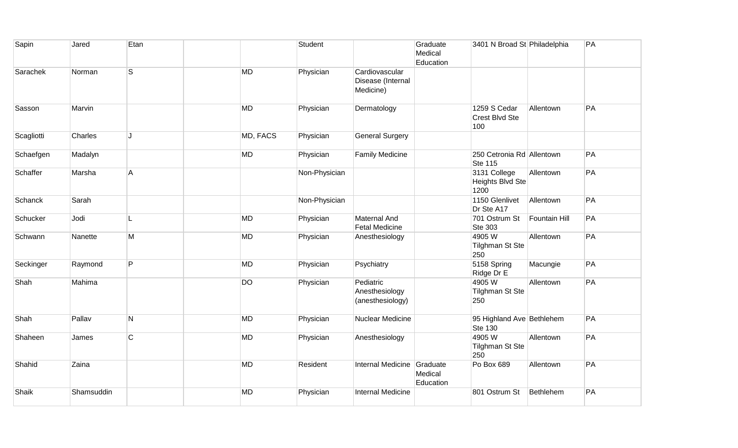| Sapin      | Jared      | Etan           |           |          | Student       |                                                  | Graduate<br>Medical<br>Education | 3401 N Broad St Philadelphia                |               | PA |
|------------|------------|----------------|-----------|----------|---------------|--------------------------------------------------|----------------------------------|---------------------------------------------|---------------|----|
| Sarachek   | Norman     | S              | <b>MD</b> |          | Physician     | Cardiovascular<br>Disease (Internal<br>Medicine) |                                  |                                             |               |    |
| Sasson     | Marvin     |                | <b>MD</b> |          | Physician     | Dermatology                                      |                                  | 1259 S Cedar<br>Crest Blvd Ste<br>100       | Allentown     | PA |
| Scagliotti | Charles    | $\mathbf{J}$   |           | MD, FACS | Physician     | <b>General Surgery</b>                           |                                  |                                             |               |    |
| Schaefgen  | Madalyn    |                | <b>MD</b> |          | Physician     | <b>Family Medicine</b>                           |                                  | 250 Cetronia Rd Allentown<br><b>Ste 115</b> |               | PA |
| Schaffer   | Marsha     | $\overline{A}$ |           |          | Non-Physician |                                                  |                                  | 3131 College<br>Heights Blvd Ste<br>1200    | Allentown     | PA |
| Schanck    | Sarah      |                |           |          | Non-Physician |                                                  |                                  | 1150 Glenlivet<br>Dr Ste A17                | Allentown     | PA |
| Schucker   | Jodi       |                | <b>MD</b> |          | Physician     | <b>Maternal And</b><br><b>Fetal Medicine</b>     |                                  | 701 Ostrum St<br>Ste 303                    | Fountain Hill | PA |
| Schwann    | Nanette    | M              | <b>MD</b> |          | Physician     | Anesthesiology                                   |                                  | 4905W<br><b>Tilghman St Ste</b><br>250      | Allentown     | PA |
| Seckinger  | Raymond    | P              | <b>MD</b> |          | Physician     | Psychiatry                                       |                                  | 5158 Spring<br>Ridge Dr E                   | Macungie      | PA |
| Shah       | Mahima     |                | <b>DO</b> |          | Physician     | Pediatric<br>Anesthesiology<br>(anesthesiology)  |                                  | 4905W<br><b>Tilghman St Ste</b><br>250      | Allentown     | PA |
| Shah       | Pallav     | N              | <b>MD</b> |          | Physician     | Nuclear Medicine                                 |                                  | 95 Highland Ave Bethlehem<br>Ste 130        |               | PA |
| Shaheen    | James      | $\mathsf C$    | <b>MD</b> |          | Physician     | Anesthesiology                                   |                                  | 4905W<br>Tilghman St Ste<br>250             | Allentown     | PA |
| Shahid     | Zaina      |                | <b>MD</b> |          | Resident      | <b>Internal Medicine</b>                         | Graduate<br>Medical<br>Education | Po Box 689                                  | Allentown     | PA |
| Shaik      | Shamsuddin |                | <b>MD</b> |          | Physician     | <b>Internal Medicine</b>                         |                                  | 801 Ostrum St                               | Bethlehem     | PA |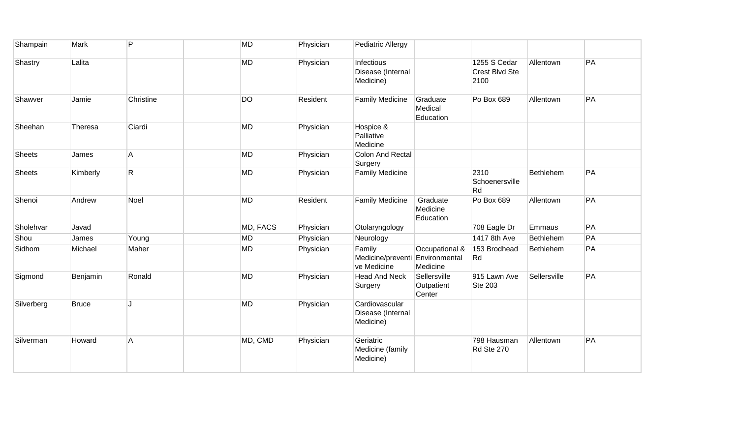| Shampain      | Mark         | P              | MD        | Physician | Pediatric Allergy                                |                                             |                                        |                  |    |
|---------------|--------------|----------------|-----------|-----------|--------------------------------------------------|---------------------------------------------|----------------------------------------|------------------|----|
| Shastry       | Lalita       |                | <b>MD</b> | Physician | Infectious<br>Disease (Internal<br>Medicine)     |                                             | 1255 S Cedar<br>Crest Blvd Ste<br>2100 | Allentown        | PA |
| Shawver       | Jamie        | Christine      | <b>DO</b> | Resident  | <b>Family Medicine</b>                           | Graduate<br>Medical<br>Education            | Po Box 689                             | Allentown        | PA |
| Sheehan       | Theresa      | Ciardi         | MD        | Physician | Hospice &<br>Palliative<br>Medicine              |                                             |                                        |                  |    |
| <b>Sheets</b> | James        | A              | MD        | Physician | <b>Colon And Rectal</b><br>Surgery               |                                             |                                        |                  |    |
| <b>Sheets</b> | Kimberly     | $\mathsf{R}$   | <b>MD</b> | Physician | <b>Family Medicine</b>                           |                                             | 2310<br>Schoenersville<br>Rd           | Bethlehem        | PA |
| Shenoi        | Andrew       | Noel           | <b>MD</b> | Resident  | <b>Family Medicine</b>                           | Graduate<br>Medicine<br>Education           | Po Box 689                             | Allentown        | PA |
| Sholehvar     | Javad        |                | MD, FACS  | Physician | Otolaryngology                                   |                                             | 708 Eagle Dr                           | Emmaus           | PA |
| Shou          | James        | Young          | <b>MD</b> | Physician | Neurology                                        |                                             | 1417 8th Ave                           | Bethlehem        | PA |
| Sidhom        | Michael      | Maher          | <b>MD</b> | Physician | Family<br>Medicine/preventi<br>ve Medicine       | Occupational &<br>Environmental<br>Medicine | 153 Brodhead<br>Rd                     | <b>Bethlehem</b> | PA |
| Sigmond       | Benjamin     | Ronald         | <b>MD</b> | Physician | <b>Head And Neck</b><br>Surgery                  | Sellersville<br>Outpatient<br>Center        | 915 Lawn Ave<br>Ste 203                | Sellersville     | PA |
| Silverberg    | <b>Bruce</b> |                | MD        | Physician | Cardiovascular<br>Disease (Internal<br>Medicine) |                                             |                                        |                  |    |
| Silverman     | Howard       | $\overline{A}$ | MD, CMD   | Physician | Geriatric<br>Medicine (family<br>Medicine)       |                                             | 798 Hausman<br>Rd Ste 270              | Allentown        | PA |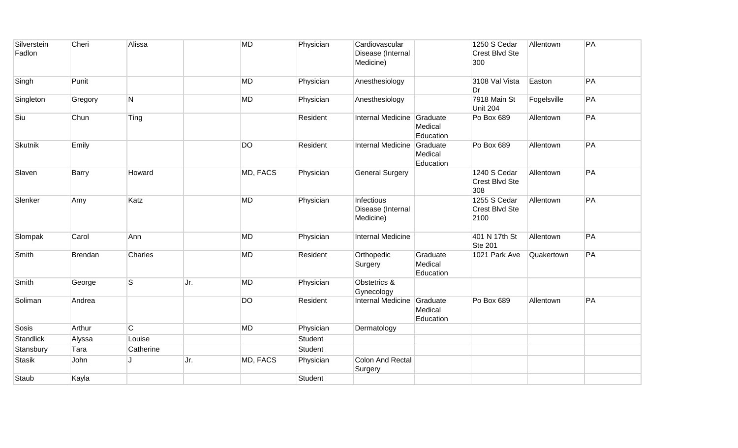| Silverstein<br>Fadlon | Cheri   | Alissa         |     | <b>MD</b> | Physician | Cardiovascular<br>Disease (Internal<br>Medicine) |                                  | 1250 S Cedar<br>Crest Blvd Ste<br>300  | Allentown   | PA |
|-----------------------|---------|----------------|-----|-----------|-----------|--------------------------------------------------|----------------------------------|----------------------------------------|-------------|----|
| Singh                 | Punit   |                |     | <b>MD</b> | Physician | Anesthesiology                                   |                                  | 3108 Val Vista<br>Dr                   | Easton      | PA |
| Singleton             | Gregory | N              |     | <b>MD</b> | Physician | Anesthesiology                                   |                                  | 7918 Main St<br><b>Unit 204</b>        | Fogelsville | PA |
| Siu                   | Chun    | Ting           |     |           | Resident  | <b>Internal Medicine</b>                         | Graduate<br>Medical<br>Education | Po Box 689                             | Allentown   | PA |
| <b>Skutnik</b>        | Emily   |                |     | <b>DO</b> | Resident  | <b>Internal Medicine</b>                         | Graduate<br>Medical<br>Education | Po Box 689                             | Allentown   | PA |
| Slaven                | Barry   | Howard         |     | MD, FACS  | Physician | <b>General Surgery</b>                           |                                  | 1240 S Cedar<br>Crest Blvd Ste<br>308  | Allentown   | PA |
| Slenker               | Amy     | Katz           |     | <b>MD</b> | Physician | Infectious<br>Disease (Internal<br>Medicine)     |                                  | 1255 S Cedar<br>Crest Blvd Ste<br>2100 | Allentown   | PA |
| Slompak               | Carol   | Ann            |     | <b>MD</b> | Physician | <b>Internal Medicine</b>                         |                                  | 401 N 17th St<br><b>Ste 201</b>        | Allentown   | PA |
| Smith                 | Brendan | Charles        |     | <b>MD</b> | Resident  | Orthopedic<br>Surgery                            | Graduate<br>Medical<br>Education | 1021 Park Ave                          | Quakertown  | PA |
| Smith                 | George  | $\mathsf{s}$   | Jr. | <b>MD</b> | Physician | Obstetrics &<br>Gynecology                       |                                  |                                        |             |    |
| Soliman               | Andrea  |                |     | <b>DO</b> | Resident  | Internal Medicine                                | Graduate<br>Medical<br>Education | Po Box 689                             | Allentown   | PA |
| Sosis                 | Arthur  | $\overline{C}$ |     | <b>MD</b> | Physician | Dermatology                                      |                                  |                                        |             |    |
| Standlick             | Alyssa  | Louise         |     |           | Student   |                                                  |                                  |                                        |             |    |
| Stansbury             | Tara    | Catherine      |     |           | Student   |                                                  |                                  |                                        |             |    |
| <b>Stasik</b>         | John    |                | Jr. | MD, FACS  | Physician | <b>Colon And Rectal</b><br>Surgery               |                                  |                                        |             |    |
| Staub                 | Kayla   |                |     |           | Student   |                                                  |                                  |                                        |             |    |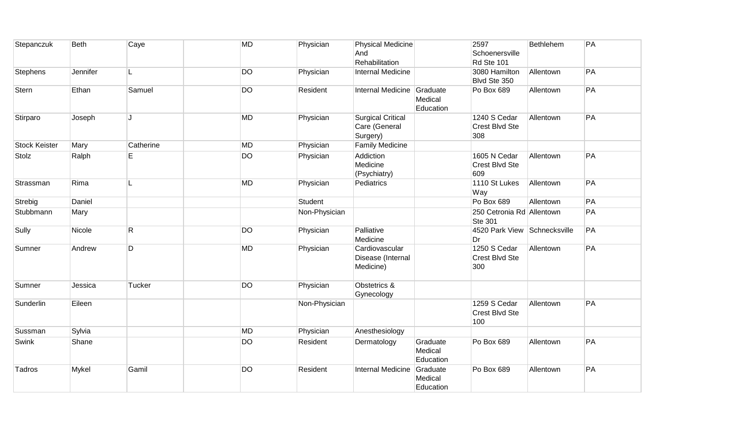| Stepanczuk           | <b>Beth</b> | Caye      | <b>MD</b> | Physician     | <b>Physical Medicine</b><br>And<br>Rehabilitation     |                                  | 2597<br>Schoenersville<br>Rd Ste 101        | Bethlehem | PA |
|----------------------|-------------|-----------|-----------|---------------|-------------------------------------------------------|----------------------------------|---------------------------------------------|-----------|----|
| <b>Stephens</b>      | Jennifer    |           | <b>DO</b> | Physician     | Internal Medicine                                     |                                  | 3080 Hamilton<br>Blvd Ste 350               | Allentown | PA |
| Stern                | Ethan       | Samuel    | <b>DO</b> | Resident      | <b>Internal Medicine</b>                              | Graduate<br>Medical<br>Education | Po Box 689                                  | Allentown | PA |
| Stirparo             | Joseph      | IJ        | <b>MD</b> | Physician     | <b>Surgical Critical</b><br>Care (General<br>Surgery) |                                  | 1240 S Cedar<br>Crest Blvd Ste<br>308       | Allentown | PA |
| <b>Stock Keister</b> | Mary        | Catherine | <b>MD</b> | Physician     | <b>Family Medicine</b>                                |                                  |                                             |           |    |
| Stolz                | Ralph       | E         | <b>DO</b> | Physician     | Addiction<br>Medicine<br>(Psychiatry)                 |                                  | 1605 N Cedar<br>Crest Blvd Ste<br>609       | Allentown | PA |
| Strassman            | Rima        | L         | <b>MD</b> | Physician     | Pediatrics                                            |                                  | 1110 St Lukes<br>Way                        | Allentown | PA |
| Strebig              | Daniel      |           |           | Student       |                                                       |                                  | Po Box 689                                  | Allentown | PA |
| Stubbmann            | Mary        |           |           | Non-Physician |                                                       |                                  | 250 Cetronia Rd Allentown<br><b>Ste 301</b> |           | PA |
| Sully                | Nicole      | R         | <b>DO</b> | Physician     | Palliative<br>Medicine                                |                                  | 4520 Park View Schnecksville<br>Dr          |           | PA |
| Sumner               | Andrew      | D         | <b>MD</b> | Physician     | Cardiovascular<br>Disease (Internal<br>Medicine)      |                                  | 1250 S Cedar<br>Crest Blvd Ste<br>300       | Allentown | PA |
| Sumner               | Jessica     | Tucker    | <b>DO</b> | Physician     | Obstetrics &<br>Gynecology                            |                                  |                                             |           |    |
| Sunderlin            | Eileen      |           |           | Non-Physician |                                                       |                                  | 1259 S Cedar<br>Crest Blvd Ste<br>100       | Allentown | PA |
| Sussman              | Sylvia      |           | <b>MD</b> | Physician     | Anesthesiology                                        |                                  |                                             |           |    |
| Swink                | Shane       |           | <b>DO</b> | Resident      | Dermatology                                           | Graduate<br>Medical<br>Education | Po Box 689                                  | Allentown | PA |
| Tadros               | Mykel       | Gamil     | <b>DO</b> | Resident      | Internal Medicine                                     | Graduate<br>Medical<br>Education | Po Box 689                                  | Allentown | PA |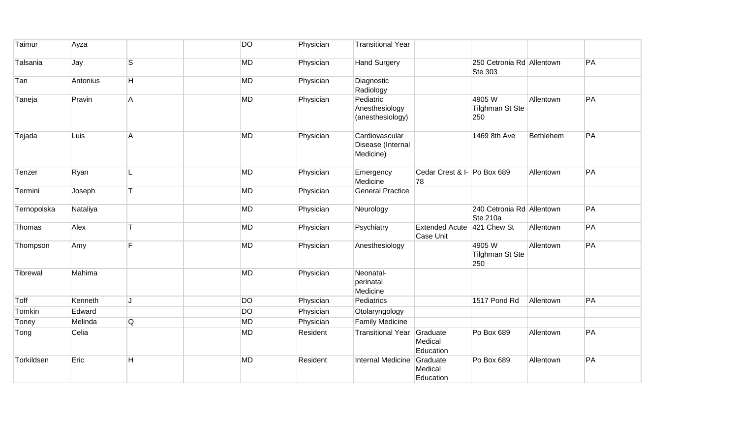| Taimur      | Ayza     |                | <b>DO</b> | Physician | <b>Transitional Year</b>                         |                                    |                                              |           |    |
|-------------|----------|----------------|-----------|-----------|--------------------------------------------------|------------------------------------|----------------------------------------------|-----------|----|
| Talsania    | Jay      | S              | <b>MD</b> | Physician | <b>Hand Surgery</b>                              |                                    | 250 Cetronia Rd Allentown<br><b>Ste 303</b>  |           | PA |
| Tan         | Antonius | H.             | <b>MD</b> | Physician | Diagnostic<br>Radiology                          |                                    |                                              |           |    |
| Taneja      | Pravin   | $\mathsf{A}$   | <b>MD</b> | Physician | Pediatric<br>Anesthesiology<br>(anesthesiology)  |                                    | 4905W<br><b>Tilghman St Ste</b><br>250       | Allentown | PA |
| Tejada      | Luis     | $\overline{A}$ | <b>MD</b> | Physician | Cardiovascular<br>Disease (Internal<br>Medicine) |                                    | 1469 8th Ave                                 | Bethlehem | PA |
| Tenzer      | Ryan     |                | <b>MD</b> | Physician | Emergency<br>Medicine                            | Cedar Crest & I- Po Box 689<br>78  |                                              | Allentown | PA |
| Termini     | Joseph   | T              | <b>MD</b> | Physician | <b>General Practice</b>                          |                                    |                                              |           |    |
| Ternopolska | Nataliya |                | <b>MD</b> | Physician | Neurology                                        |                                    | 240 Cetronia Rd Allentown<br><b>Ste 210a</b> |           | PA |
| Thomas      | Alex     |                | <b>MD</b> | Physician | Psychiatry                                       | <b>Extended Acute</b><br>Case Unit | 421 Chew St                                  | Allentown | PA |
| Thompson    | Amy      | F              | <b>MD</b> | Physician | Anesthesiology                                   |                                    | 4905W<br><b>Tilghman St Ste</b><br>250       | Allentown | PA |
| Tibrewal    | Mahima   |                | <b>MD</b> | Physician | Neonatal-<br>perinatal<br>Medicine               |                                    |                                              |           |    |
| Toff        | Kenneth  | IJ             | <b>DO</b> | Physician | Pediatrics                                       |                                    | 1517 Pond Rd                                 | Allentown | PA |
| Tomkin      | Edward   |                | DO        | Physician | Otolaryngology                                   |                                    |                                              |           |    |
| Toney       | Melinda  | Q              | <b>MD</b> | Physician | <b>Family Medicine</b>                           |                                    |                                              |           |    |
| Tong        | Celia    |                | <b>MD</b> | Resident  | <b>Transitional Year</b>                         | Graduate<br>Medical<br>Education   | Po Box 689                                   | Allentown | PA |
| Torkildsen  | Eric     | Н              | <b>MD</b> | Resident  | Internal Medicine                                | Graduate<br>Medical<br>Education   | Po Box 689                                   | Allentown | PA |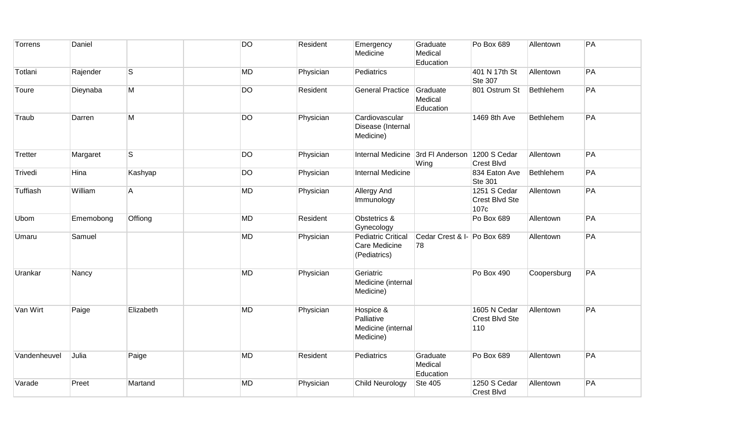| Torrens      | Daniel    |           | <b>DO</b> | Resident  | Emergency<br>Medicine                                      | Graduate<br>Medical<br>Education  | Po Box 689                             | Allentown   | PA |
|--------------|-----------|-----------|-----------|-----------|------------------------------------------------------------|-----------------------------------|----------------------------------------|-------------|----|
| Totlani      | Rajender  | S         | <b>MD</b> | Physician | Pediatrics                                                 |                                   | 401 N 17th St<br>Ste 307               | Allentown   | PA |
| Toure        | Dieynaba  | M         | <b>DO</b> | Resident  | <b>General Practice</b>                                    | Graduate<br>Medical<br>Education  | 801 Ostrum St                          | Bethlehem   | PA |
| Traub        | Darren    | М         | <b>DO</b> | Physician | Cardiovascular<br>Disease (Internal<br>Medicine)           |                                   | 1469 8th Ave                           | Bethlehem   | PA |
| Tretter      | Margaret  | S         | <b>DO</b> | Physician | Internal Medicine 3rd FI Anderson                          | Wing                              | 1200 S Cedar<br>Crest Blvd             | Allentown   | PA |
| Trivedi      | Hina      | Kashyap   | <b>DO</b> | Physician | <b>Internal Medicine</b>                                   |                                   | 834 Eaton Ave<br>Ste 301               | Bethlehem   | PA |
| Tuffiash     | William   | Α         | MD        | Physician | Allergy And<br>Immunology                                  |                                   | 1251 S Cedar<br>Crest Blvd Ste<br>107c | Allentown   | PA |
| Ubom         | Ememobong | Offiong   | MD        | Resident  | Obstetrics &<br>Gynecology                                 |                                   | Po Box 689                             | Allentown   | PA |
| Umaru        | Samuel    |           | <b>MD</b> | Physician | <b>Pediatric Critical</b><br>Care Medicine<br>(Pediatrics) | Cedar Crest & I- Po Box 689<br>78 |                                        | Allentown   | PA |
| Urankar      | Nancy     |           | <b>MD</b> | Physician | Geriatric<br>Medicine (internal<br>Medicine)               |                                   | Po Box 490                             | Coopersburg | PA |
| Van Wirt     | Paige     | Elizabeth | <b>MD</b> | Physician | Hospice &<br>Palliative<br>Medicine (internal<br>Medicine) |                                   | 1605 N Cedar<br>Crest Blvd Ste<br>110  | Allentown   | PA |
| Vandenheuvel | Julia     | Paige     | MD        | Resident  | Pediatrics                                                 | Graduate<br>Medical<br>Education  | Po Box 689                             | Allentown   | PA |
| Varade       | Preet     | Martand   | MD        | Physician | <b>Child Neurology</b>                                     | <b>Ste 405</b>                    | 1250 S Cedar<br><b>Crest Blvd</b>      | Allentown   | PA |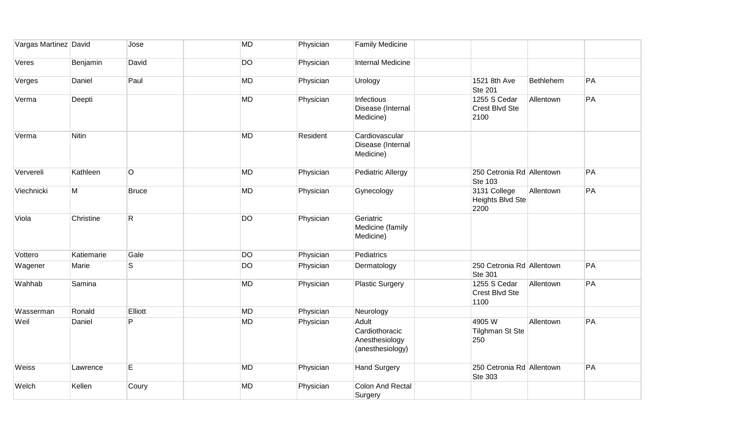| Vargas Martinez David |              | Jose         | <b>MD</b> | Physician | <b>Family Medicine</b>                                        |                                                 |           |    |
|-----------------------|--------------|--------------|-----------|-----------|---------------------------------------------------------------|-------------------------------------------------|-----------|----|
| Veres                 | Benjamin     | David        | <b>DO</b> | Physician | Internal Medicine                                             |                                                 |           |    |
| Verges                | Daniel       | Paul         | <b>MD</b> | Physician | Urology                                                       | 1521 8th Ave<br><b>Ste 201</b>                  | Bethlehem | PA |
| Verma                 | Deepti       |              | <b>MD</b> | Physician | Infectious<br>Disease (Internal<br>Medicine)                  | 1255 S Cedar<br>Crest Blvd Ste<br>2100          | Allentown | PA |
| Verma                 | <b>Nitin</b> |              | <b>MD</b> | Resident  | Cardiovascular<br>Disease (Internal<br>Medicine)              |                                                 |           |    |
| Ververeli             | Kathleen     | O            | <b>MD</b> | Physician | <b>Pediatric Allergy</b>                                      | 250 Cetronia Rd Allentown<br><b>Ste 103</b>     |           | PA |
| Viechnicki            | M            | <b>Bruce</b> | MD        | Physician | Gynecology                                                    | 3131 College<br><b>Heights Blvd Ste</b><br>2200 | Allentown | PA |
| Viola                 | Christine    | R            | DO        | Physician | Geriatric<br>Medicine (family<br>Medicine)                    |                                                 |           |    |
| Vottero               | Katiemarie   | Gale         | <b>DO</b> | Physician | Pediatrics                                                    |                                                 |           |    |
| Wagener               | Marie        | S            | <b>DO</b> | Physician | Dermatology                                                   | 250 Cetronia Rd Allentown<br><b>Ste 301</b>     |           | PA |
| Wahhab                | Samina       |              | <b>MD</b> | Physician | <b>Plastic Surgery</b>                                        | 1255 S Cedar<br>Crest Blvd Ste<br>1100          | Allentown | PA |
| Wasserman             | Ronald       | Elliott      | <b>MD</b> | Physician | Neurology                                                     |                                                 |           |    |
| Weil                  | Daniel       | P            | <b>MD</b> | Physician | Adult<br>Cardiothoracic<br>Anesthesiology<br>(anesthesiology) | 4905 W<br><b>Tilghman St Ste</b><br>250         | Allentown | PA |
| Weiss                 | Lawrence     | E            | MD        | Physician | <b>Hand Surgery</b>                                           | 250 Cetronia Rd Allentown<br><b>Ste 303</b>     |           | PA |
| Welch                 | Kellen       | Coury        | MD        | Physician | <b>Colon And Rectal</b><br>Surgery                            |                                                 |           |    |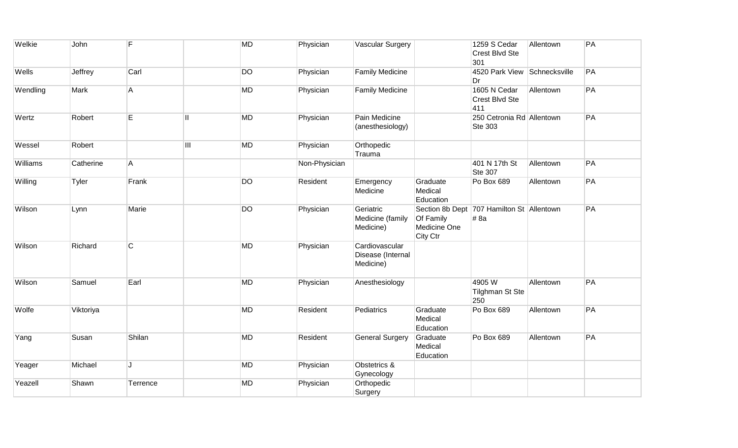| Welkie   | John      | F              |   | <b>MD</b> | Physician     | <b>Vascular Surgery</b>                          |                                       | 1259 S Cedar<br>Crest Blvd Ste<br>301             | Allentown | PA |
|----------|-----------|----------------|---|-----------|---------------|--------------------------------------------------|---------------------------------------|---------------------------------------------------|-----------|----|
| Wells    | Jeffrey   | Carl           |   | <b>DO</b> | Physician     | <b>Family Medicine</b>                           |                                       | 4520 Park View Schnecksville<br>Dr                |           | PA |
| Wendling | Mark      | А              |   | MD        | Physician     | <b>Family Medicine</b>                           |                                       | 1605 N Cedar<br>Crest Blvd Ste<br>411             | Allentown | PA |
| Wertz    | Robert    | E              | Ш | <b>MD</b> | Physician     | Pain Medicine<br>(anesthesiology)                |                                       | 250 Cetronia Rd Allentown<br>Ste 303              |           | PA |
| Wessel   | Robert    |                | Ш | <b>MD</b> | Physician     | Orthopedic<br>Trauma                             |                                       |                                                   |           |    |
| Williams | Catherine | A              |   |           | Non-Physician |                                                  |                                       | 401 N 17th St<br>Ste 307                          | Allentown | PA |
| Willing  | Tyler     | Frank          |   | <b>DO</b> | Resident      | Emergency<br>Medicine                            | Graduate<br>Medical<br>Education      | Po Box 689                                        | Allentown | PA |
| Wilson   | Lynn      | Marie          |   | DO        | Physician     | Geriatric<br>Medicine (family<br>Medicine)       | Of Family<br>Medicine One<br>City Ctr | Section 8b Dept 707 Hamilton St Allentown<br># 8a |           | PA |
| Wilson   | Richard   | $\overline{C}$ |   | <b>MD</b> | Physician     | Cardiovascular<br>Disease (Internal<br>Medicine) |                                       |                                                   |           |    |
| Wilson   | Samuel    | Earl           |   | <b>MD</b> | Physician     | Anesthesiology                                   |                                       | 4905W<br>Tilghman St Ste<br>250                   | Allentown | PA |
| Wolfe    | Viktoriya |                |   | <b>MD</b> | Resident      | Pediatrics                                       | Graduate<br>Medical<br>Education      | Po Box 689                                        | Allentown | PA |
| Yang     | Susan     | Shilan         |   | <b>MD</b> | Resident      | <b>General Surgery</b>                           | Graduate<br>Medical<br>Education      | Po Box 689                                        | Allentown | PA |
| Yeager   | Michael   | Τ.             |   | MD        | Physician     | Obstetrics &<br>Gynecology                       |                                       |                                                   |           |    |
| Yeazell  | Shawn     | Terrence       |   | MD        | Physician     | Orthopedic<br>Surgery                            |                                       |                                                   |           |    |